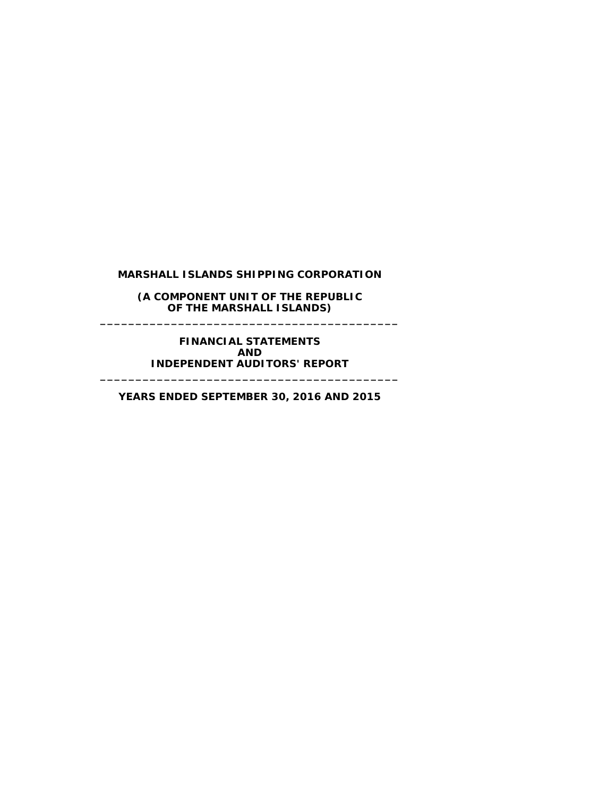**(A COMPONENT UNIT OF THE REPUBLIC OF THE MARSHALL ISLANDS) \_\_\_\_\_\_\_\_\_\_\_\_\_\_\_\_\_\_\_\_\_\_\_\_\_\_\_\_\_\_\_\_\_\_\_\_\_\_\_\_\_\_**

**FINANCIAL STATEMENTS AND INDEPENDENT AUDITORS' REPORT \_\_\_\_\_\_\_\_\_\_\_\_\_\_\_\_\_\_\_\_\_\_\_\_\_\_\_\_\_\_\_\_\_\_\_\_\_\_\_\_\_\_**

**YEARS ENDED SEPTEMBER 30, 2016 AND 2015**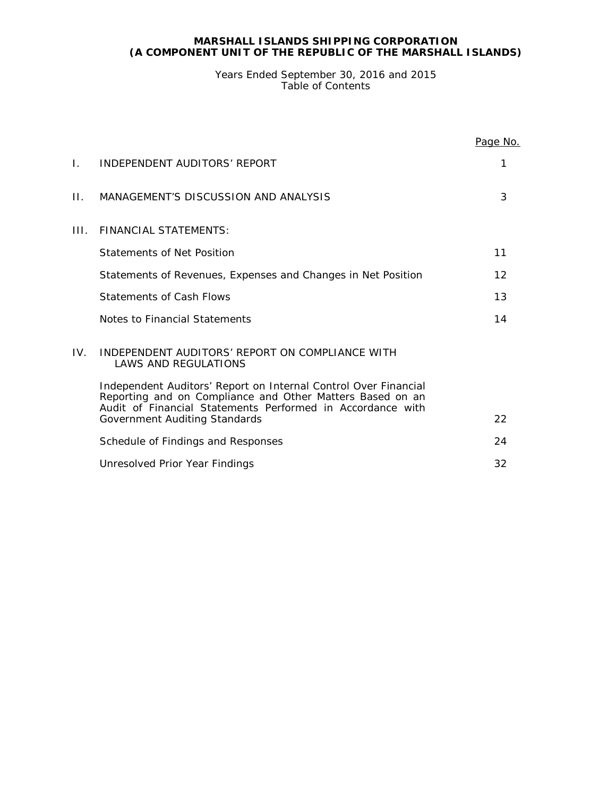# **MARSHALL ISLANDS SHIPPING CORPORATION (A COMPONENT UNIT OF THE REPUBLIC OF THE MARSHALL ISLANDS)**

# Years Ended September 30, 2016 and 2015 Table of Contents

|      |                                                                                                                                                                                            | Page No. |
|------|--------------------------------------------------------------------------------------------------------------------------------------------------------------------------------------------|----------|
| Ι.   | INDEPENDENT AUDITORS' REPORT                                                                                                                                                               | 1        |
| Н.   | MANAGEMENT'S DISCUSSION AND ANALYSIS                                                                                                                                                       | 3        |
| III. | <b>FINANCIAL STATEMENTS:</b>                                                                                                                                                               |          |
|      | Statements of Net Position                                                                                                                                                                 | 11       |
|      | Statements of Revenues, Expenses and Changes in Net Position                                                                                                                               | 12       |
|      | Statements of Cash Flows                                                                                                                                                                   | 13       |
|      | Notes to Financial Statements                                                                                                                                                              | 14       |
| IV.  | INDEPENDENT AUDITORS' REPORT ON COMPLIANCE WITH<br><b>LAWS AND REGULATIONS</b>                                                                                                             |          |
|      | Independent Auditors' Report on Internal Control Over Financial<br>Reporting and on Compliance and Other Matters Based on an<br>Audit of Financial Statements Performed in Accordance with |          |
|      | Government Auditing Standards                                                                                                                                                              | 22       |
|      | Schedule of Findings and Responses                                                                                                                                                         | 24       |
|      | Unresolved Prior Year Findings                                                                                                                                                             | 32       |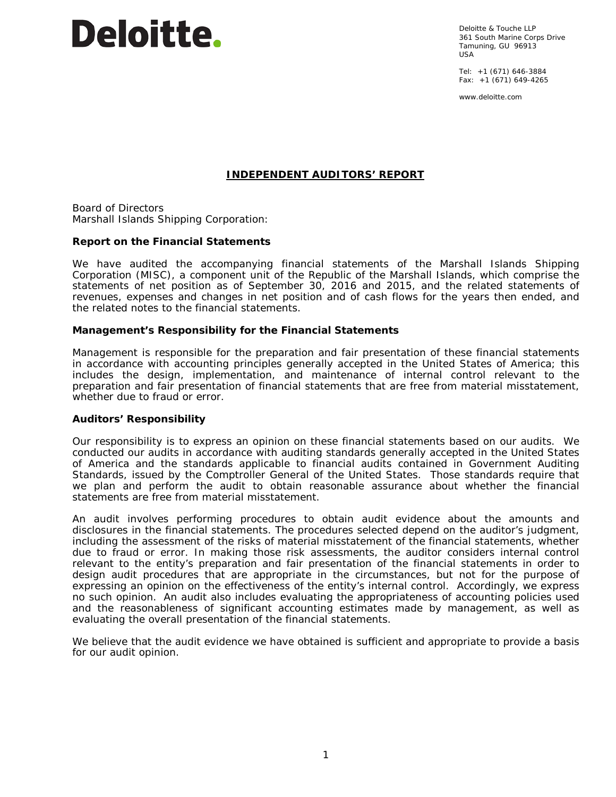

Deloitte & Touche LLP 361 South Marine Corps Drive Tamuning, GU 96913 USA

Tel: +1 (671) 646-3884 Fax: +1 (671) 649-4265

www.deloitte.com

# **INDEPENDENT AUDITORS' REPORT**

Board of Directors Marshall Islands Shipping Corporation:

# **Report on the Financial Statements**

We have audited the accompanying financial statements of the Marshall Islands Shipping Corporation (MISC), a component unit of the Republic of the Marshall Islands, which comprise the statements of net position as of September 30, 2016 and 2015, and the related statements of revenues, expenses and changes in net position and of cash flows for the years then ended, and the related notes to the financial statements.

# *Management's Responsibility for the Financial Statements*

Management is responsible for the preparation and fair presentation of these financial statements in accordance with accounting principles generally accepted in the United States of America; this includes the design, implementation, and maintenance of internal control relevant to the preparation and fair presentation of financial statements that are free from material misstatement, whether due to fraud or error.

#### *Auditors' Responsibility*

Our responsibility is to express an opinion on these financial statements based on our audits. We conducted our audits in accordance with auditing standards generally accepted in the United States of America and the standards applicable to financial audits contained in *Government Auditing Standards,* issued by the Comptroller General of the United States. Those standards require that we plan and perform the audit to obtain reasonable assurance about whether the financial statements are free from material misstatement.

An audit involves performing procedures to obtain audit evidence about the amounts and disclosures in the financial statements. The procedures selected depend on the auditor's judgment, including the assessment of the risks of material misstatement of the financial statements, whether due to fraud or error. In making those risk assessments, the auditor considers internal control relevant to the entity's preparation and fair presentation of the financial statements in order to design audit procedures that are appropriate in the circumstances, but not for the purpose of expressing an opinion on the effectiveness of the entity's internal control. Accordingly, we express no such opinion. An audit also includes evaluating the appropriateness of accounting policies used and the reasonableness of significant accounting estimates made by management, as well as evaluating the overall presentation of the financial statements.

We believe that the audit evidence we have obtained is sufficient and appropriate to provide a basis for our audit opinion.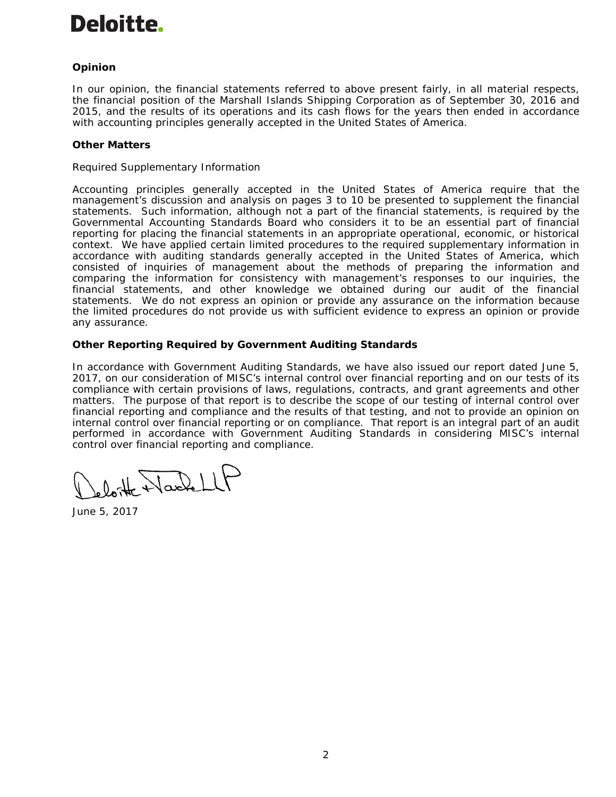# Deloitte.

# *Opinion*

In our opinion, the financial statements referred to above present fairly, in all material respects, the financial position of the Marshall Islands Shipping Corporation as of September 30, 2016 and 2015, and the results of its operations and its cash flows for the years then ended in accordance with accounting principles generally accepted in the United States of America.

# *Other Matters*

# *Required Supplementary Information*

Accounting principles generally accepted in the United States of America require that the management's discussion and analysis on pages 3 to 10 be presented to supplement the financial statements. Such information, although not a part of the financial statements, is required by the Governmental Accounting Standards Board who considers it to be an essential part of financial reporting for placing the financial statements in an appropriate operational, economic, or historical context. We have applied certain limited procedures to the required supplementary information in accordance with auditing standards generally accepted in the United States of America, which consisted of inquiries of management about the methods of preparing the information and comparing the information for consistency with management's responses to our inquiries, the financial statements, and other knowledge we obtained during our audit of the financial statements. We do not express an opinion or provide any assurance on the information because the limited procedures do not provide us with sufficient evidence to express an opinion or provide any assurance.

# **Other Reporting Required by** *Government Auditing Standards*

In accordance with *Government Auditing Standards*, we have also issued our report dated June 5, 2017, on our consideration of MISC's internal control over financial reporting and on our tests of its compliance with certain provisions of laws, regulations, contracts, and grant agreements and other matters. The purpose of that report is to describe the scope of our testing of internal control over financial reporting and compliance and the results of that testing, and not to provide an opinion on internal control over financial reporting or on compliance. That report is an integral part of an audit performed in accordance with *Government Auditing Standards* in considering MISC's internal control over financial reporting and compliance.

loite Nachell

June 5, 2017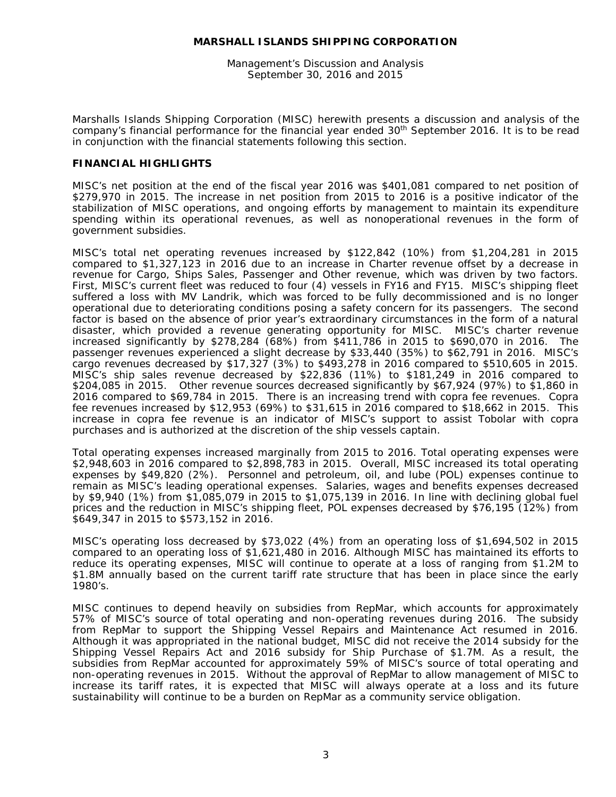Management's Discussion and Analysis September 30, 2016 and 2015

Marshalls Islands Shipping Corporation (MISC) herewith presents a discussion and analysis of the company's financial performance for the financial year ended 30th September 2016. It is to be read in conjunction with the financial statements following this section.

# **FINANCIAL HIGHLIGHTS**

MISC's net position at the end of the fiscal year 2016 was \$401,081 compared to net position of \$279,970 in 2015. The increase in net position from 2015 to 2016 is a positive indicator of the stabilization of MISC operations, and ongoing efforts by management to maintain its expenditure spending within its operational revenues, as well as nonoperational revenues in the form of government subsidies.

MISC's total net operating revenues increased by \$122,842 (10%) from \$1,204,281 in 2015 compared to \$1,327,123 in 2016 due to an increase in Charter revenue offset by a decrease in revenue for Cargo, Ships Sales, Passenger and Other revenue, which was driven by two factors. First, MISC's current fleet was reduced to four (4) vessels in FY16 and FY15. MISC's shipping fleet suffered a loss with MV Landrik, which was forced to be fully decommissioned and is no longer operational due to deteriorating conditions posing a safety concern for its passengers. The second factor is based on the absence of prior year's extraordinary circumstances in the form of a natural disaster, which provided a revenue generating opportunity for MISC. MISC's charter revenue increased significantly by \$278,284 (68%) from \$411,786 in 2015 to \$690,070 in 2016. The passenger revenues experienced a slight decrease by \$33,440 (35%) to \$62,791 in 2016. MISC's cargo revenues decreased by \$17,327 (3%) to \$493,278 in 2016 compared to \$510,605 in 2015. MISC's ship sales revenue decreased by \$22,836 (11%) to \$181,249 in 2016 compared to \$204,085 in 2015. Other revenue sources decreased significantly by \$67,924 (97%) to \$1,860 in 2016 compared to \$69,784 in 2015. There is an increasing trend with copra fee revenues. Copra fee revenues increased by \$12,953 (69%) to \$31,615 in 2016 compared to \$18,662 in 2015. This increase in copra fee revenue is an indicator of MISC's support to assist Tobolar with copra purchases and is authorized at the discretion of the ship vessels captain.

Total operating expenses increased marginally from 2015 to 2016. Total operating expenses were \$2,948,603 in 2016 compared to \$2,898,783 in 2015. Overall, MISC increased its total operating expenses by \$49,820 (2%). Personnel and petroleum, oil, and lube (POL) expenses continue to remain as MISC's leading operational expenses. Salaries, wages and benefits expenses decreased by \$9,940 (1%) from \$1,085,079 in 2015 to \$1,075,139 in 2016. In line with declining global fuel prices and the reduction in MISC's shipping fleet, POL expenses decreased by \$76,195 (12%) from \$649,347 in 2015 to \$573,152 in 2016.

MISC's operating loss decreased by \$73,022 (4%) from an operating loss of \$1,694,502 in 2015 compared to an operating loss of \$1,621,480 in 2016. Although MISC has maintained its efforts to reduce its operating expenses, MISC will continue to operate at a loss of ranging from \$1.2M to \$1.8M annually based on the current tariff rate structure that has been in place since the early 1980's.

MISC continues to depend heavily on subsidies from RepMar, which accounts for approximately 57% of MISC's source of total operating and non-operating revenues during 2016. The subsidy from RepMar to support the Shipping Vessel Repairs and Maintenance Act resumed in 2016. Although it was appropriated in the national budget, MISC did not receive the 2014 subsidy for the Shipping Vessel Repairs Act and 2016 subsidy for Ship Purchase of \$1.7M. As a result, the subsidies from RepMar accounted for approximately 59% of MISC's source of total operating and non-operating revenues in 2015. Without the approval of RepMar to allow management of MISC to increase its tariff rates, it is expected that MISC will always operate at a loss and its future sustainability will continue to be a burden on RepMar as a community service obligation.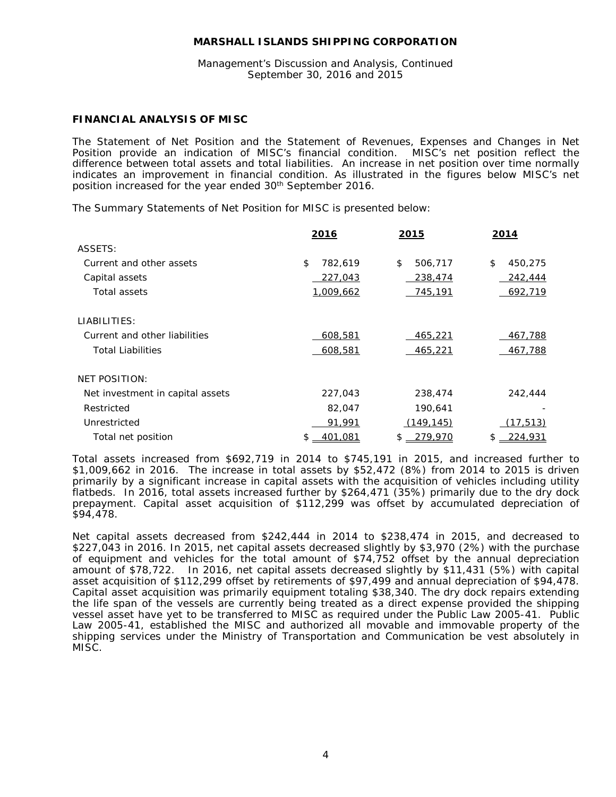# Management's Discussion and Analysis, Continued September 30, 2016 and 2015

# **FINANCIAL ANALYSIS OF MISC**

The Statement of Net Position and the Statement of Revenues, Expenses and Changes in Net<br>Position provide an indication of MISC's financial condition. MISC's net position reflect the Position provide an indication of MISC's financial condition. difference between total assets and total liabilities. An increase in net position over time normally indicates an improvement in financial condition. As illustrated in the figures below MISC's net position increased for the year ended 30<sup>th</sup> September 2016.

The Summary Statements of Net Position for MISC is presented below:

|                                  | 2016          | 2015          | 2014          |
|----------------------------------|---------------|---------------|---------------|
| ASSETS:                          |               |               |               |
| Current and other assets         | \$<br>782,619 | \$<br>506,717 | \$<br>450,275 |
| Capital assets                   | 227,043       | 238,474       | 242,444       |
| Total assets                     | 1,009,662     | 745,191       | 692,719       |
| LIABILITIES:                     |               |               |               |
| Current and other liabilities    | 608,581       | 465,221       | 467,788       |
| <b>Total Liabilities</b>         | 608,581       | 465,221       | 467,788       |
| <b>NET POSITION:</b>             |               |               |               |
| Net investment in capital assets | 227,043       | 238,474       | 242,444       |
| Restricted                       | 82,047        | 190,641       |               |
| Unrestricted                     | 91,991        | (149, 145)    | (17, 513)     |
| Total net position               | 401,081<br>\$ | 279,970       | 224,931       |

Total assets increased from \$692,719 in 2014 to \$745,191 in 2015, and increased further to \$1,009,662 in 2016. The increase in total assets by \$52,472 (8%) from 2014 to 2015 is driven primarily by a significant increase in capital assets with the acquisition of vehicles including utility flatbeds. In 2016, total assets increased further by \$264,471 (35%) primarily due to the dry dock prepayment. Capital asset acquisition of \$112,299 was offset by accumulated depreciation of \$94,478.

Net capital assets decreased from \$242,444 in 2014 to \$238,474 in 2015, and decreased to \$227,043 in 2016. In 2015, net capital assets decreased slightly by \$3,970 (2%) with the purchase of equipment and vehicles for the total amount of \$74,752 offset by the annual depreciation amount of \$78,722. In 2016, net capital assets decreased slightly by \$11,431 (5%) with capital asset acquisition of \$112,299 offset by retirements of \$97,499 and annual depreciation of \$94,478. Capital asset acquisition was primarily equipment totaling \$38,340. The dry dock repairs extending the life span of the vessels are currently being treated as a direct expense provided the shipping vessel asset have yet to be transferred to MISC as required under the Public Law 2005-41. Public Law 2005-41, established the MISC and authorized all movable and immovable property of the shipping services under the Ministry of Transportation and Communication be vest absolutely in MISC.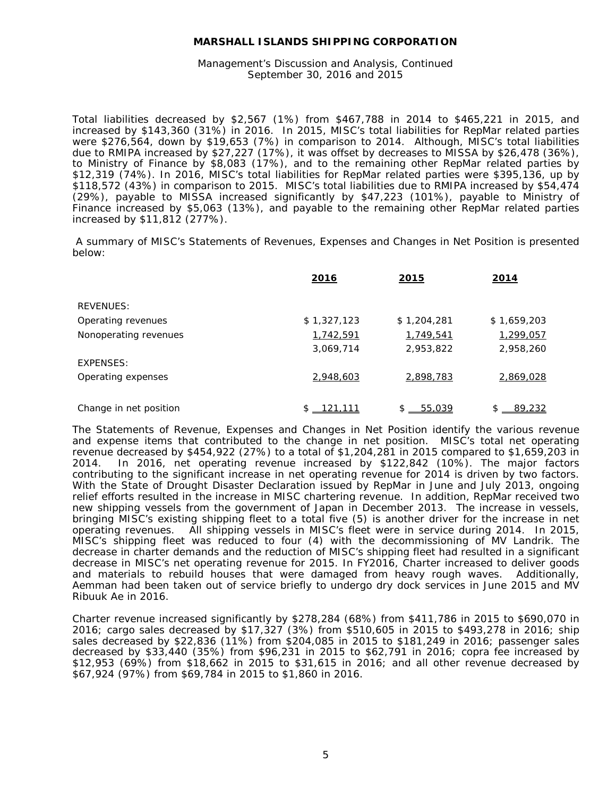Management's Discussion and Analysis, Continued September 30, 2016 and 2015

Total liabilities decreased by \$2,567 (1%) from \$467,788 in 2014 to \$465,221 in 2015, and increased by \$143,360 (31%) in 2016. In 2015, MISC's total liabilities for RepMar related parties were \$276,564, down by \$19,653 (7%) in comparison to 2014. Although, MISC's total liabilities due to RMIPA increased by \$27,227 (17%), it was offset by decreases to MISSA by \$26,478 (36%), to Ministry of Finance by \$8,083 (17%), and to the remaining other RepMar related parties by \$12,319 (74%). In 2016, MISC's total liabilities for RepMar related parties were \$395,136, up by \$118,572 (43%) in comparison to 2015. MISC's total liabilities due to RMIPA increased by \$54,474 (29%), payable to MISSA increased significantly by \$47,223 (101%), payable to Ministry of Finance increased by \$5,063 (13%), and payable to the remaining other RepMar related parties increased by \$11,812 (277%).

A summary of MISC's Statements of Revenues, Expenses and Changes in Net Position is presented below:

|                        | 2016          | 2015         | <u> 2014</u> |
|------------------------|---------------|--------------|--------------|
| <b>REVENUES:</b>       |               |              |              |
| Operating revenues     | \$1,327,123   | \$1,204,281  | \$1,659,203  |
| Nonoperating revenues  | 1,742,591     | 1,749,541    | 1,299,057    |
|                        | 3,069,714     | 2,953,822    | 2,958,260    |
| EXPENSES:              |               |              |              |
| Operating expenses     | 2,948,603     | 2,898,783    | 2,869,028    |
|                        |               |              |              |
| Change in net position | 121,111<br>\$ | 55,039<br>\$ | \$<br>89,232 |

The Statements of Revenue, Expenses and Changes in Net Position identify the various revenue and expense items that contributed to the change in net position. MISC's total net operating revenue decreased by \$454,922 (27%) to a total of \$1,204,281 in 2015 compared to \$1,659,203 in 2014. In 2016, net operating revenue increased by \$122,842 (10%). The major factors contributing to the significant increase in net operating revenue for 2014 is driven by two factors. With the State of Drought Disaster Declaration issued by RepMar in June and July 2013, ongoing relief efforts resulted in the increase in MISC chartering revenue. In addition, RepMar received two new shipping vessels from the government of Japan in December 2013. The increase in vessels, bringing MISC's existing shipping fleet to a total five (5) is another driver for the increase in net operating revenues. All shipping vessels in MISC's fleet were in service during 2014. In 2015, MISC's shipping fleet was reduced to four (4) with the decommissioning of MV Landrik. The decrease in charter demands and the reduction of MISC's shipping fleet had resulted in a significant decrease in MISC's net operating revenue for 2015. In FY2016, Charter increased to deliver goods and materials to rebuild houses that were damaged from heavy rough waves. Additionally, Aemman had been taken out of service briefly to undergo dry dock services in June 2015 and MV Ribuuk Ae in 2016.

Charter revenue increased significantly by \$278,284 (68%) from \$411,786 in 2015 to \$690,070 in 2016; cargo sales decreased by \$17,327 (3%) from \$510,605 in 2015 to \$493,278 in 2016; ship sales decreased by \$22,836 (11%) from \$204,085 in 2015 to \$181,249 in 2016; passenger sales decreased by \$33,440 (35%) from \$96,231 in 2015 to \$62,791 in 2016; copra fee increased by \$12,953 (69%) from \$18,662 in 2015 to \$31,615 in 2016; and all other revenue decreased by \$67,924 (97%) from \$69,784 in 2015 to \$1,860 in 2016.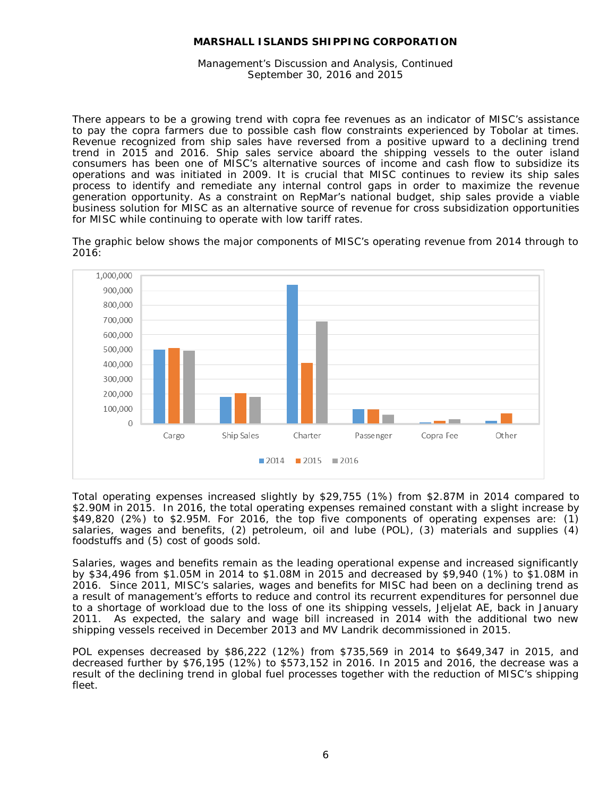Management's Discussion and Analysis, Continued September 30, 2016 and 2015

There appears to be a growing trend with copra fee revenues as an indicator of MISC's assistance to pay the copra farmers due to possible cash flow constraints experienced by Tobolar at times. Revenue recognized from ship sales have reversed from a positive upward to a declining trend trend in 2015 and 2016. Ship sales service aboard the shipping vessels to the outer island consumers has been one of MISC's alternative sources of income and cash flow to subsidize its operations and was initiated in 2009. It is crucial that MISC continues to review its ship sales process to identify and remediate any internal control gaps in order to maximize the revenue generation opportunity. As a constraint on RepMar's national budget, ship sales provide a viable business solution for MISC as an alternative source of revenue for cross subsidization opportunities for MISC while continuing to operate with low tariff rates.

The graphic below shows the major components of MISC's operating revenue from 2014 through to 2016:



Total operating expenses increased slightly by \$29,755 (1%) from \$2.87M in 2014 compared to \$2.90M in 2015. In 2016, the total operating expenses remained constant with a slight increase by \$49,820 (2%) to \$2.95M. For 2016, the top five components of operating expenses are: (1) salaries, wages and benefits, (2) petroleum, oil and lube (POL), (3) materials and supplies (4) foodstuffs and (5) cost of goods sold.

Salaries, wages and benefits remain as the leading operational expense and increased significantly by \$34,496 from \$1.05M in 2014 to \$1.08M in 2015 and decreased by \$9,940 (1%) to \$1.08M in 2016. Since 2011, MISC's salaries, wages and benefits for MISC had been on a declining trend as a result of management's efforts to reduce and control its recurrent expenditures for personnel due to a shortage of workload due to the loss of one its shipping vessels, Jeljelat AE, back in January 2011. As expected, the salary and wage bill increased in 2014 with the additional two new shipping vessels received in December 2013 and MV Landrik decommissioned in 2015.

POL expenses decreased by \$86,222 (12%) from \$735,569 in 2014 to \$649,347 in 2015, and decreased further by \$76,195 (12%) to \$573,152 in 2016. In 2015 and 2016, the decrease was a result of the declining trend in global fuel processes together with the reduction of MISC's shipping fleet.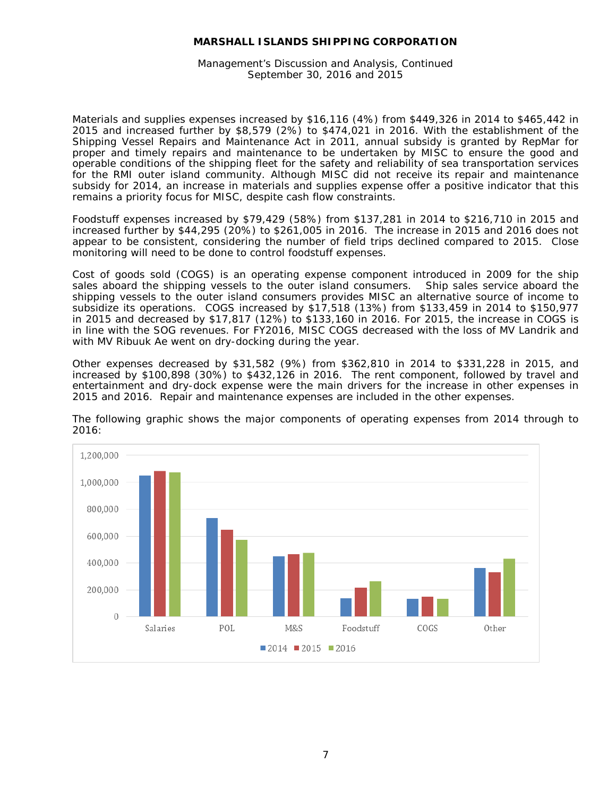Management's Discussion and Analysis, Continued September 30, 2016 and 2015

Materials and supplies expenses increased by \$16,116 (4%) from \$449,326 in 2014 to \$465,442 in 2015 and increased further by \$8,579 (2%) to \$474,021 in 2016. With the establishment of the Shipping Vessel Repairs and Maintenance Act in 2011, annual subsidy is granted by RepMar for proper and timely repairs and maintenance to be undertaken by MISC to ensure the good and operable conditions of the shipping fleet for the safety and reliability of sea transportation services for the RMI outer island community. Although MISC did not receive its repair and maintenance subsidy for 2014, an increase in materials and supplies expense offer a positive indicator that this remains a priority focus for MISC, despite cash flow constraints.

Foodstuff expenses increased by \$79,429 (58%) from \$137,281 in 2014 to \$216,710 in 2015 and increased further by \$44,295 (20%) to \$261,005 in 2016. The increase in 2015 and 2016 does not appear to be consistent, considering the number of field trips declined compared to 2015. Close monitoring will need to be done to control foodstuff expenses.

Cost of goods sold (COGS) is an operating expense component introduced in 2009 for the ship sales aboard the shipping vessels to the outer island consumers. Ship sales service aboard the shipping vessels to the outer island consumers provides MISC an alternative source of income to subsidize its operations. COGS increased by \$17,518 (13%) from \$133,459 in 2014 to \$150,977 in 2015 and decreased by \$17,817 (12%) to \$133,160 in 2016. For 2015, the increase in COGS is in line with the SOG revenues. For FY2016, MISC COGS decreased with the loss of MV Landrik and with MV Ribuuk Ae went on dry-docking during the year.

Other expenses decreased by \$31,582 (9%) from \$362,810 in 2014 to \$331,228 in 2015, and increased by \$100,898 (30%) to \$432,126 in 2016. The rent component, followed by travel and entertainment and dry-dock expense were the main drivers for the increase in other expenses in 2015 and 2016. Repair and maintenance expenses are included in the other expenses.



The following graphic shows the major components of operating expenses from 2014 through to 2016: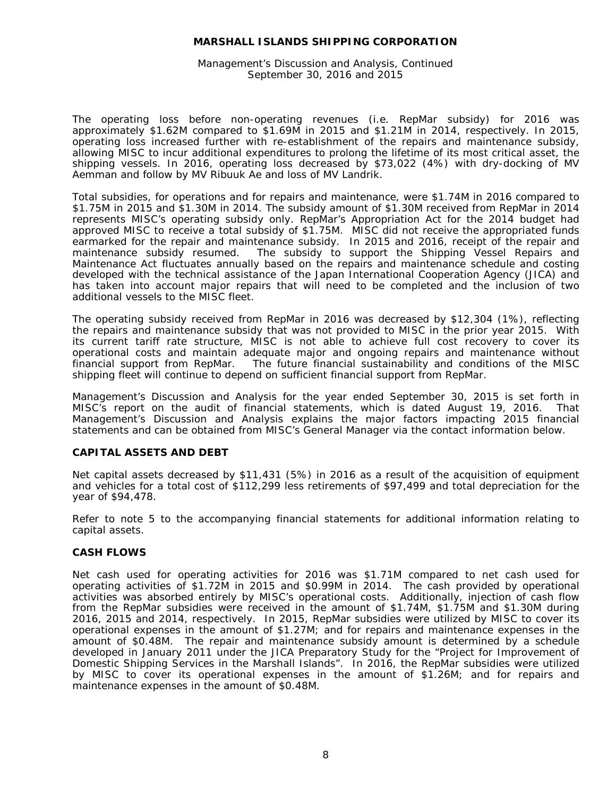Management's Discussion and Analysis, Continued September 30, 2016 and 2015

The operating loss before non-operating revenues (i.e. RepMar subsidy) for 2016 was approximately \$1.62M compared to \$1.69M in 2015 and \$1.21M in 2014, respectively. In 2015, operating loss increased further with re-establishment of the repairs and maintenance subsidy, allowing MISC to incur additional expenditures to prolong the lifetime of its most critical asset, the shipping vessels. In 2016, operating loss decreased by \$73,022 (4%) with dry-docking of MV Aemman and follow by MV Ribuuk Ae and loss of MV Landrik.

Total subsidies, for operations and for repairs and maintenance, were \$1.74M in 2016 compared to \$1.75M in 2015 and \$1.30M in 2014. The subsidy amount of \$1.30M received from RepMar in 2014 represents MISC's operating subsidy only. RepMar's Appropriation Act for the 2014 budget had approved MISC to receive a total subsidy of \$1.75M. MISC did not receive the appropriated funds earmarked for the repair and maintenance subsidy. In 2015 and 2016, receipt of the repair and maintenance subsidy resumed. The subsidy to support the Shipping Vessel Repairs and Maintenance Act fluctuates annually based on the repairs and maintenance schedule and costing developed with the technical assistance of the Japan International Cooperation Agency (JICA) and has taken into account major repairs that will need to be completed and the inclusion of two additional vessels to the MISC fleet.

The operating subsidy received from RepMar in 2016 was decreased by \$12,304 (1%), reflecting the repairs and maintenance subsidy that was not provided to MISC in the prior year 2015. With its current tariff rate structure, MISC is not able to achieve full cost recovery to cover its operational costs and maintain adequate major and ongoing repairs and maintenance without financial support from RepMar. The future financial sustainability and conditions of the MISC shipping fleet will continue to depend on sufficient financial support from RepMar.

Management's Discussion and Analysis for the year ended September 30, 2015 is set forth in MISC's report on the audit of financial statements, which is dated August 19, 2016. That Management's Discussion and Analysis explains the major factors impacting 2015 financial statements and can be obtained from MISC's General Manager via the contact information below.

#### **CAPITAL ASSETS AND DEBT**

Net capital assets decreased by \$11,431 (5%) in 2016 as a result of the acquisition of equipment and vehicles for a total cost of \$112,299 less retirements of \$97,499 and total depreciation for the year of \$94,478.

Refer to note 5 to the accompanying financial statements for additional information relating to capital assets.

# **CASH FLOWS**

Net cash used for operating activities for 2016 was \$1.71M compared to net cash used for operating activities of \$1.72M in 2015 and \$0.99M in 2014. The cash provided by operational activities was absorbed entirely by MISC's operational costs. Additionally, injection of cash flow from the RepMar subsidies were received in the amount of \$1.74M, \$1.75M and \$1.30M during 2016, 2015 and 2014, respectively. In 2015, RepMar subsidies were utilized by MISC to cover its operational expenses in the amount of \$1.27M; and for repairs and maintenance expenses in the amount of \$0.48M. The repair and maintenance subsidy amount is determined by a schedule developed in January 2011 under the JICA Preparatory Study for the "Project for Improvement of Domestic Shipping Services in the Marshall Islands". In 2016, the RepMar subsidies were utilized by MISC to cover its operational expenses in the amount of \$1.26M; and for repairs and maintenance expenses in the amount of \$0.48M.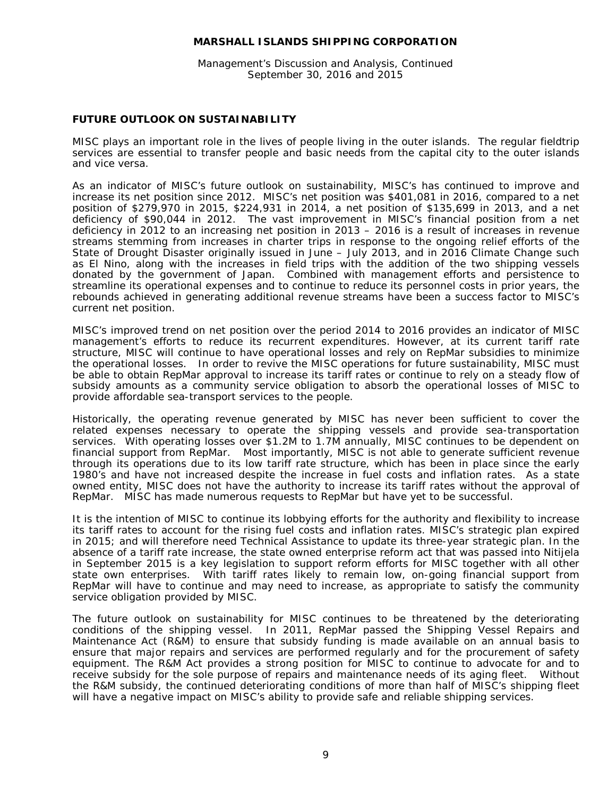Management's Discussion and Analysis, Continued September 30, 2016 and 2015

# **FUTURE OUTLOOK ON SUSTAINABILITY**

MISC plays an important role in the lives of people living in the outer islands. The regular fieldtrip services are essential to transfer people and basic needs from the capital city to the outer islands and vice versa.

As an indicator of MISC's future outlook on sustainability, MISC's has continued to improve and increase its net position since 2012. MISC's net position was \$401,081 in 2016, compared to a net position of \$279,970 in 2015, \$224,931 in 2014, a net position of \$135,699 in 2013, and a net deficiency of \$90,044 in 2012. The vast improvement in MISC's financial position from a net deficiency in 2012 to an increasing net position in 2013 – 2016 is a result of increases in revenue streams stemming from increases in charter trips in response to the ongoing relief efforts of the State of Drought Disaster originally issued in June – July 2013, and in 2016 Climate Change such as El Nino, along with the increases in field trips with the addition of the two shipping vessels donated by the government of Japan. Combined with management efforts and persistence to streamline its operational expenses and to continue to reduce its personnel costs in prior years, the rebounds achieved in generating additional revenue streams have been a success factor to MISC's current net position.

MISC's improved trend on net position over the period 2014 to 2016 provides an indicator of MISC management's efforts to reduce its recurrent expenditures. However, at its current tariff rate structure, MISC will continue to have operational losses and rely on RepMar subsidies to minimize the operational losses. In order to revive the MISC operations for future sustainability, MISC must be able to obtain RepMar approval to increase its tariff rates or continue to rely on a steady flow of subsidy amounts as a community service obligation to absorb the operational losses of MISC to provide affordable sea-transport services to the people.

Historically, the operating revenue generated by MISC has never been sufficient to cover the related expenses necessary to operate the shipping vessels and provide sea-transportation services. With operating losses over \$1.2M to 1.7M annually, MISC continues to be dependent on financial support from RepMar. Most importantly, MISC is not able to generate sufficient revenue through its operations due to its low tariff rate structure, which has been in place since the early 1980's and have not increased despite the increase in fuel costs and inflation rates. As a state owned entity, MISC does not have the authority to increase its tariff rates without the approval of RepMar. MISC has made numerous requests to RepMar but have yet to be successful.

It is the intention of MISC to continue its lobbying efforts for the authority and flexibility to increase its tariff rates to account for the rising fuel costs and inflation rates. MISC's strategic plan expired in 2015; and will therefore need Technical Assistance to update its three-year strategic plan. In the absence of a tariff rate increase, the state owned enterprise reform act that was passed into Nitijela in September 2015 is a key legislation to support reform efforts for MISC together with all other state own enterprises. With tariff rates likely to remain low, on-going financial support from RepMar will have to continue and may need to increase, as appropriate to satisfy the community service obligation provided by MISC.

The future outlook on sustainability for MISC continues to be threatened by the deteriorating conditions of the shipping vessel. In 2011, RepMar passed the Shipping Vessel Repairs and Maintenance Act (R&M) to ensure that subsidy funding is made available on an annual basis to ensure that major repairs and services are performed regularly and for the procurement of safety equipment. The R&M Act provides a strong position for MISC to continue to advocate for and to receive subsidy for the sole purpose of repairs and maintenance needs of its aging fleet. Without the R&M subsidy, the continued deteriorating conditions of more than half of MISC's shipping fleet will have a negative impact on MISC's ability to provide safe and reliable shipping services.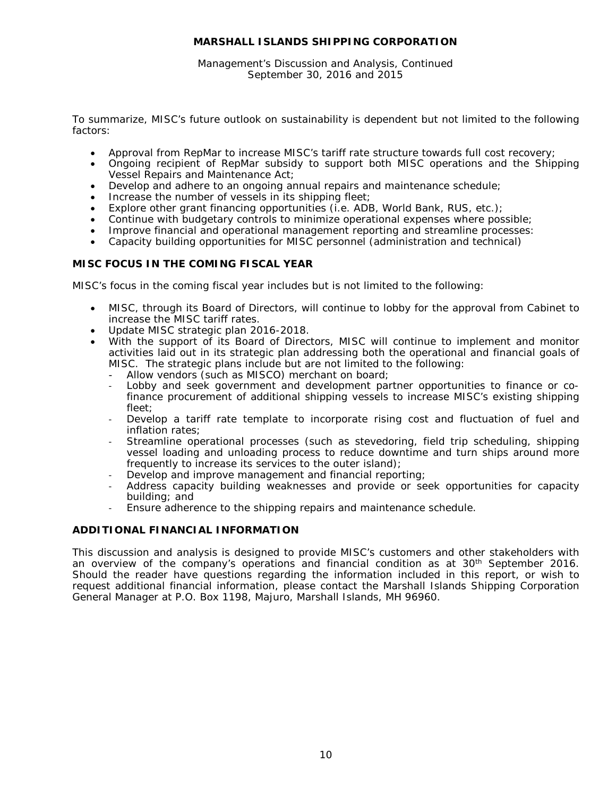Management's Discussion and Analysis, Continued September 30, 2016 and 2015

To summarize, MISC's future outlook on sustainability is dependent but not limited to the following factors:

- Approval from RepMar to increase MISC's tariff rate structure towards full cost recovery;
- Ongoing recipient of RepMar subsidy to support both MISC operations and the Shipping Vessel Repairs and Maintenance Act;
- Develop and adhere to an ongoing annual repairs and maintenance schedule;
- Increase the number of vessels in its shipping fleet;
- Explore other grant financing opportunities (i.e. ADB, World Bank, RUS, etc.);
- Continue with budgetary controls to minimize operational expenses where possible;
- Improve financial and operational management reporting and streamline processes:
- Capacity building opportunities for MISC personnel (administration and technical)

# **MISC FOCUS IN THE COMING FISCAL YEAR**

MISC's focus in the coming fiscal year includes but is not limited to the following:

- MISC, through its Board of Directors, will continue to lobby for the approval from Cabinet to increase the MISC tariff rates.
- Update MISC strategic plan 2016-2018.
- With the support of its Board of Directors, MISC will continue to implement and monitor activities laid out in its strategic plan addressing both the operational and financial goals of MISC. The strategic plans include but are not limited to the following:
	- Allow vendors (such as MISCO) merchant on board;
	- Lobby and seek government and development partner opportunities to finance or cofinance procurement of additional shipping vessels to increase MISC's existing shipping fleet;
	- Develop a tariff rate template to incorporate rising cost and fluctuation of fuel and inflation rates;
	- Streamline operational processes (such as stevedoring, field trip scheduling, shipping vessel loading and unloading process to reduce downtime and turn ships around more frequently to increase its services to the outer island);
	- Develop and improve management and financial reporting;
	- Address capacity building weaknesses and provide or seek opportunities for capacity building; and
	- Ensure adherence to the shipping repairs and maintenance schedule.

# **ADDITIONAL FINANCIAL INFORMATION**

This discussion and analysis is designed to provide MISC's customers and other stakeholders with an overview of the company's operations and financial condition as at 30<sup>th</sup> September 2016. Should the reader have questions regarding the information included in this report, or wish to request additional financial information, please contact the Marshall Islands Shipping Corporation General Manager at P.O. Box 1198, Majuro, Marshall Islands, MH 96960.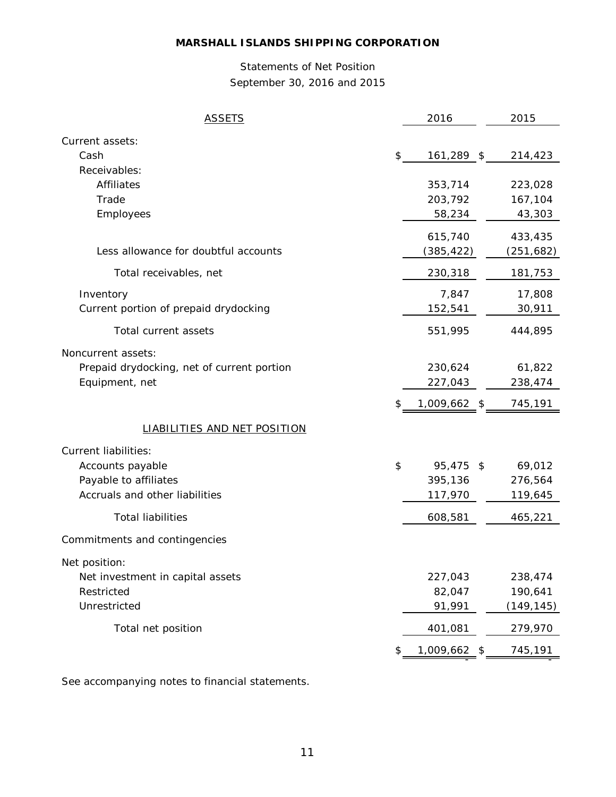# Statements of Net Position September 30, 2016 and 2015

| <b>ASSETS</b>                              | 2016               | 2015         |
|--------------------------------------------|--------------------|--------------|
| Current assets:                            |                    |              |
| Cash                                       | \$<br>161,289 \$   | 214,423      |
| Receivables:                               |                    |              |
| Affiliates                                 | 353,714            | 223,028      |
| Trade                                      | 203,792            | 167,104      |
| Employees                                  | 58,234             | 43,303       |
|                                            | 615,740            | 433,435      |
| Less allowance for doubtful accounts       | (385,422)          | (251, 682)   |
| Total receivables, net                     | 230,318            | 181,753      |
| Inventory                                  | 7,847              | 17,808       |
| Current portion of prepaid drydocking      | 152,541            | 30,911       |
| Total current assets                       | 551,995            | 444,895      |
| Noncurrent assets:                         |                    |              |
| Prepaid drydocking, net of current portion | 230,624            | 61,822       |
| Equipment, net                             | 227,043            | 238,474      |
|                                            | \$<br>1,009,662 \$ | 745,191      |
| <b>LIABILITIES AND NET POSITION</b>        |                    |              |
| <b>Current liabilities:</b>                |                    |              |
| Accounts payable                           | \$<br>95,475       | \$<br>69,012 |
| Payable to affiliates                      | 395,136            | 276,564      |
| Accruals and other liabilities             | 117,970            | 119,645      |
| <b>Total liabilities</b>                   | 608,581            | 465,221      |
| Commitments and contingencies              |                    |              |
| Net position:                              |                    |              |
| Net investment in capital assets           | 227,043            | 238,474      |
| Restricted                                 | 82,047             | 190,641      |
| Unrestricted                               | 91,991             | (149,145)    |
| Total net position                         | 401,081            | 279,970      |
|                                            | \$<br>1,009,662    | 745,191      |

See accompanying notes to financial statements.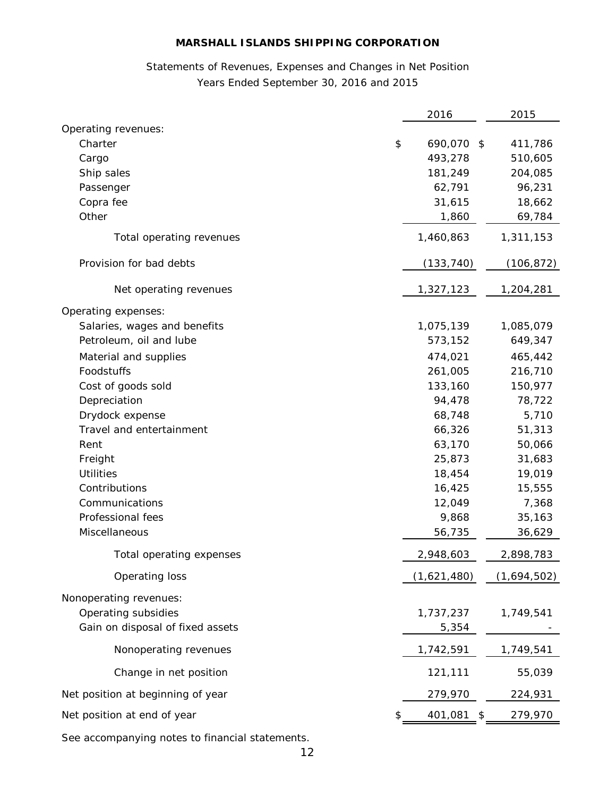# Statements of Revenues, Expenses and Changes in Net Position Years Ended September 30, 2016 and 2015

|                                   | 2016             | 2015        |
|-----------------------------------|------------------|-------------|
| Operating revenues:               |                  |             |
| Charter                           | \$<br>690,070 \$ | 411,786     |
| Cargo                             | 493,278          | 510,605     |
| Ship sales                        | 181,249          | 204,085     |
| Passenger                         | 62,791           | 96,231      |
| Copra fee                         | 31,615           | 18,662      |
| Other                             | 1,860            | 69,784      |
| Total operating revenues          | 1,460,863        | 1,311,153   |
| Provision for bad debts           | (133, 740)       | (106,872)   |
| Net operating revenues            | 1,327,123        | 1,204,281   |
| Operating expenses:               |                  |             |
| Salaries, wages and benefits      | 1,075,139        | 1,085,079   |
| Petroleum, oil and lube           | 573,152          | 649,347     |
| Material and supplies             | 474,021          | 465,442     |
| Foodstuffs                        | 261,005          | 216,710     |
| Cost of goods sold                | 133,160          | 150,977     |
| Depreciation                      | 94,478           | 78,722      |
| Drydock expense                   | 68,748           | 5,710       |
| Travel and entertainment          | 66,326           | 51,313      |
| Rent                              | 63,170           | 50,066      |
| Freight                           | 25,873           | 31,683      |
| <b>Utilities</b>                  | 18,454           | 19,019      |
| Contributions                     | 16,425           | 15,555      |
| Communications                    | 12,049           | 7,368       |
| Professional fees                 | 9,868            | 35,163      |
| Miscellaneous                     | 56,735           | 36,629      |
| Total operating expenses          | 2,948,603        | 2,898,783   |
| Operating loss                    | (1,621,480)      | (1,694,502) |
| Nonoperating revenues:            |                  |             |
| Operating subsidies               | 1,737,237        | 1,749,541   |
| Gain on disposal of fixed assets  | 5,354            |             |
| Nonoperating revenues             | 1,742,591        | 1,749,541   |
| Change in net position            | 121,111          | 55,039      |
| Net position at beginning of year | 279,970          | 224,931     |
| Net position at end of year       | \$<br>401,081    | 279,970     |
|                                   |                  |             |

See accompanying notes to financial statements.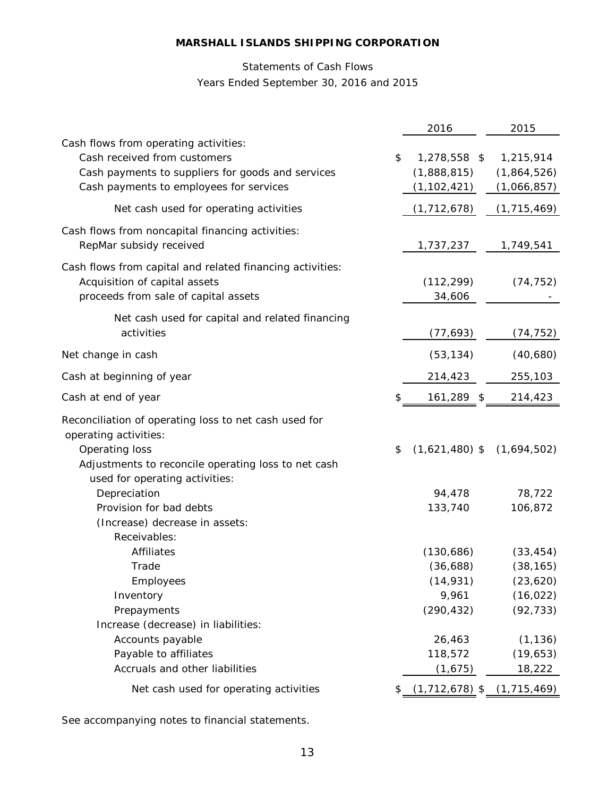# Statements of Cash Flows Years Ended September 30, 2016 and 2015

|                                                                                                                                                                       | 2016                                                                            | 2015                                                                                   |
|-----------------------------------------------------------------------------------------------------------------------------------------------------------------------|---------------------------------------------------------------------------------|----------------------------------------------------------------------------------------|
| Cash flows from operating activities:<br>Cash received from customers<br>Cash payments to suppliers for goods and services<br>Cash payments to employees for services | \$<br>1,278,558 \$<br>(1,888,815)<br>(1, 102, 421)                              | 1,215,914<br>(1,864,526)<br>(1,066,857)                                                |
| Net cash used for operating activities                                                                                                                                | (1, 712, 678)                                                                   | (1, 715, 469)                                                                          |
| Cash flows from noncapital financing activities:<br>RepMar subsidy received                                                                                           | 1,737,237                                                                       | 1,749,541                                                                              |
| Cash flows from capital and related financing activities:<br>Acquisition of capital assets<br>proceeds from sale of capital assets                                    | (112, 299)<br>34,606                                                            | (74, 752)                                                                              |
| Net cash used for capital and related financing<br>activities                                                                                                         | (77, 693)                                                                       | (74, 752)                                                                              |
| Net change in cash                                                                                                                                                    | (53, 134)                                                                       | (40, 680)                                                                              |
| Cash at beginning of year                                                                                                                                             | 214,423                                                                         | 255,103                                                                                |
| Cash at end of year                                                                                                                                                   | \$<br>161,289 \$                                                                | 214,423                                                                                |
| Reconciliation of operating loss to net cash used for<br>operating activities:<br>Operating loss<br>Adjustments to reconcile operating loss to net cash               | \$<br>$(1,621,480)$ \$                                                          | (1,694,502)                                                                            |
| used for operating activities:<br>Depreciation<br>Provision for bad debts<br>(Increase) decrease in assets:<br>Receivables:                                           | 94,478<br>133,740                                                               | 78,722<br>106,872                                                                      |
| <b>Affiliates</b><br>Trade<br>Employees<br>Inventory<br>Prepayments<br>Increase (decrease) in liabilities:<br>Accounts payable<br>Payable to affiliates               | (130, 686)<br>(36,688)<br>(14, 931)<br>9,961<br>(290, 432)<br>26,463<br>118,572 | (33, 454)<br>(38, 165)<br>(23, 620)<br>(16, 022)<br>(92, 733)<br>(1, 136)<br>(19, 653) |
| Accruals and other liabilities                                                                                                                                        | (1,675)                                                                         | 18,222                                                                                 |
| Net cash used for operating activities                                                                                                                                | \$<br>$(1,712,678)$ \$ $(1,715,469)$                                            |                                                                                        |

See accompanying notes to financial statements.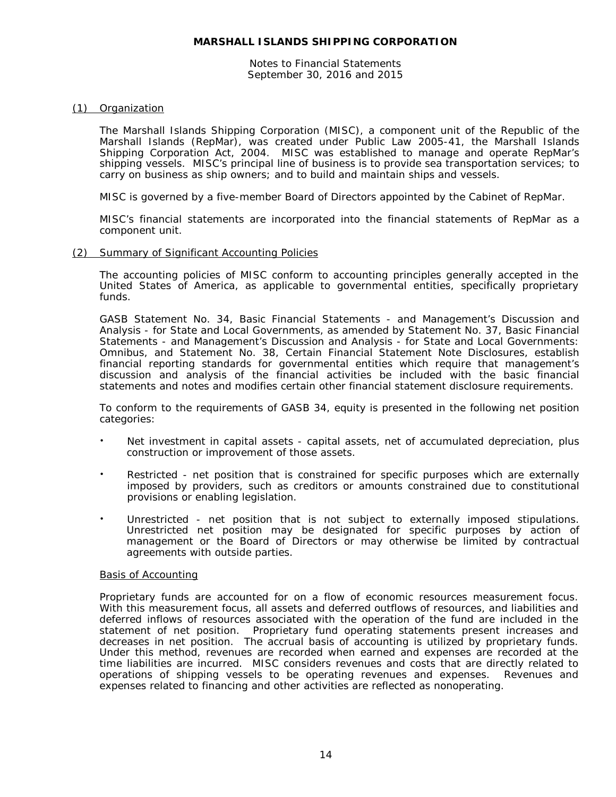Notes to Financial Statements September 30, 2016 and 2015

# (1) Organization

The Marshall Islands Shipping Corporation (MISC), a component unit of the Republic of the Marshall Islands (RepMar), was created under Public Law 2005-41, the Marshall Islands Shipping Corporation Act, 2004. MISC was established to manage and operate RepMar's shipping vessels. MISC's principal line of business is to provide sea transportation services; to carry on business as ship owners; and to build and maintain ships and vessels.

MISC is governed by a five-member Board of Directors appointed by the Cabinet of RepMar.

MISC's financial statements are incorporated into the financial statements of RepMar as a component unit.

#### (2) Summary of Significant Accounting Policies

The accounting policies of MISC conform to accounting principles generally accepted in the United States of America, as applicable to governmental entities, specifically proprietary funds.

GASB Statement No. 34, *Basic Financial Statements - and Management's Discussion and Analysis - for State and Local Governments*, as amended by Statement No. 37, *Basic Financial Statements - and Management's Discussion and Analysis - for State and Local Governments: Omnibus*, and Statement No. 38, *Certain Financial Statement Note Disclosures*, establish financial reporting standards for governmental entities which require that management's discussion and analysis of the financial activities be included with the basic financial statements and notes and modifies certain other financial statement disclosure requirements.

To conform to the requirements of GASB 34, equity is presented in the following net position categories:

- Net investment in capital assets capital assets, net of accumulated depreciation, plus construction or improvement of those assets.
- Restricted net position that is constrained for specific purposes which are externally imposed by providers, such as creditors or amounts constrained due to constitutional provisions or enabling legislation.
- Unrestricted net position that is not subject to externally imposed stipulations. Unrestricted net position may be designated for specific purposes by action of management or the Board of Directors or may otherwise be limited by contractual agreements with outside parties.

#### Basis of Accounting

Proprietary funds are accounted for on a flow of economic resources measurement focus. With this measurement focus, all assets and deferred outflows of resources, and liabilities and deferred inflows of resources associated with the operation of the fund are included in the statement of net position. Proprietary fund operating statements present increases and decreases in net position. The accrual basis of accounting is utilized by proprietary funds. Under this method, revenues are recorded when earned and expenses are recorded at the time liabilities are incurred. MISC considers revenues and costs that are directly related to operations of shipping vessels to be operating revenues and expenses. Revenues and expenses related to financing and other activities are reflected as nonoperating.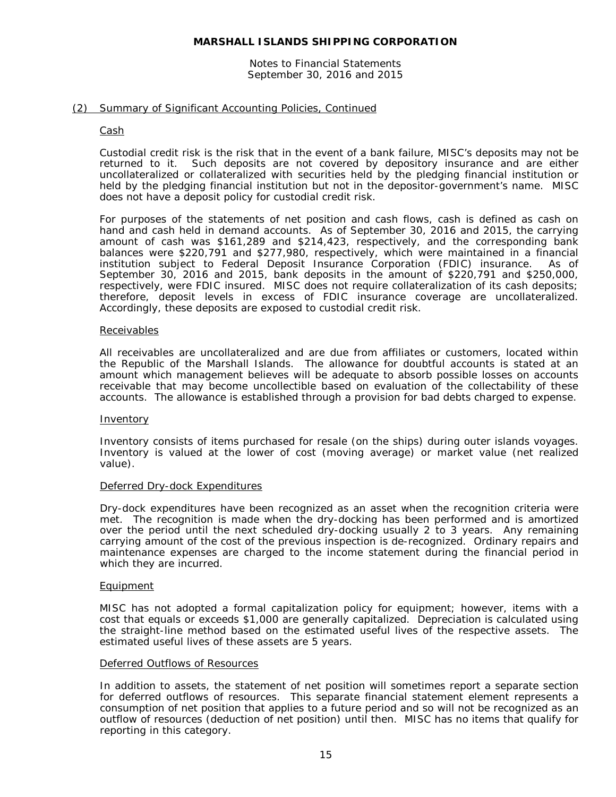#### Notes to Financial Statements September 30, 2016 and 2015

# (2) Summary of Significant Accounting Policies, Continued

# Cash

Custodial credit risk is the risk that in the event of a bank failure, MISC's deposits may not be returned to it. Such deposits are not covered by depository insurance and are either uncollateralized or collateralized with securities held by the pledging financial institution or held by the pledging financial institution but not in the depositor-government's name. MISC does not have a deposit policy for custodial credit risk.

For purposes of the statements of net position and cash flows, cash is defined as cash on hand and cash held in demand accounts. As of September 30, 2016 and 2015, the carrying amount of cash was \$161,289 and \$214,423, respectively, and the corresponding bank balances were \$220,791 and \$277,980, respectively, which were maintained in a financial institution subject to Federal Deposit Insurance Corporation (FDIC) insurance. As of September 30, 2016 and 2015, bank deposits in the amount of \$220,791 and \$250,000, respectively, were FDIC insured. MISC does not require collateralization of its cash deposits; therefore, deposit levels in excess of FDIC insurance coverage are uncollateralized. Accordingly, these deposits are exposed to custodial credit risk.

# **Receivables**

All receivables are uncollateralized and are due from affiliates or customers, located within the Republic of the Marshall Islands. The allowance for doubtful accounts is stated at an amount which management believes will be adequate to absorb possible losses on accounts receivable that may become uncollectible based on evaluation of the collectability of these accounts. The allowance is established through a provision for bad debts charged to expense.

#### Inventory

Inventory consists of items purchased for resale (on the ships) during outer islands voyages. Inventory is valued at the lower of cost (moving average) or market value (net realized value).

#### Deferred Dry-dock Expenditures

Dry-dock expenditures have been recognized as an asset when the recognition criteria were met. The recognition is made when the dry-docking has been performed and is amortized over the period until the next scheduled dry-docking usually 2 to 3 years. Any remaining carrying amount of the cost of the previous inspection is de-recognized. Ordinary repairs and maintenance expenses are charged to the income statement during the financial period in which they are incurred.

#### Equipment

MISC has not adopted a formal capitalization policy for equipment; however, items with a cost that equals or exceeds \$1,000 are generally capitalized. Depreciation is calculated using the straight-line method based on the estimated useful lives of the respective assets. The estimated useful lives of these assets are 5 years.

# Deferred Outflows of Resources

In addition to assets, the statement of net position will sometimes report a separate section for deferred outflows of resources. This separate financial statement element represents a consumption of net position that applies to a future period and so will not be recognized as an outflow of resources (deduction of net position) until then. MISC has no items that qualify for reporting in this category.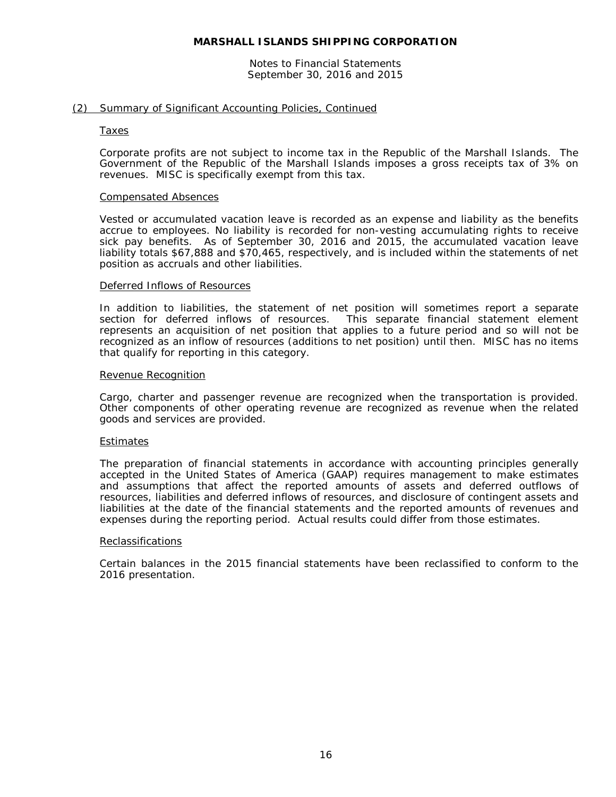Notes to Financial Statements September 30, 2016 and 2015

# (2) Summary of Significant Accounting Policies, Continued

#### Taxes

Corporate profits are not subject to income tax in the Republic of the Marshall Islands. The Government of the Republic of the Marshall Islands imposes a gross receipts tax of 3% on revenues. MISC is specifically exempt from this tax.

#### Compensated Absences

Vested or accumulated vacation leave is recorded as an expense and liability as the benefits accrue to employees. No liability is recorded for non-vesting accumulating rights to receive sick pay benefits. As of September 30, 2016 and 2015, the accumulated vacation leave liability totals \$67,888 and \$70,465, respectively, and is included within the statements of net position as accruals and other liabilities.

#### Deferred Inflows of Resources

In addition to liabilities, the statement of net position will sometimes report a separate section for deferred inflows of resources. This separate financial statement element section for deferred inflows of resources. represents an acquisition of net position that applies to a future period and so will not be recognized as an inflow of resources (additions to net position) until then. MISC has no items that qualify for reporting in this category.

#### Revenue Recognition

Cargo, charter and passenger revenue are recognized when the transportation is provided. Other components of other operating revenue are recognized as revenue when the related goods and services are provided.

#### Estimates

The preparation of financial statements in accordance with accounting principles generally accepted in the United States of America (GAAP) requires management to make estimates and assumptions that affect the reported amounts of assets and deferred outflows of resources, liabilities and deferred inflows of resources, and disclosure of contingent assets and liabilities at the date of the financial statements and the reported amounts of revenues and expenses during the reporting period. Actual results could differ from those estimates.

#### Reclassifications

Certain balances in the 2015 financial statements have been reclassified to conform to the 2016 presentation.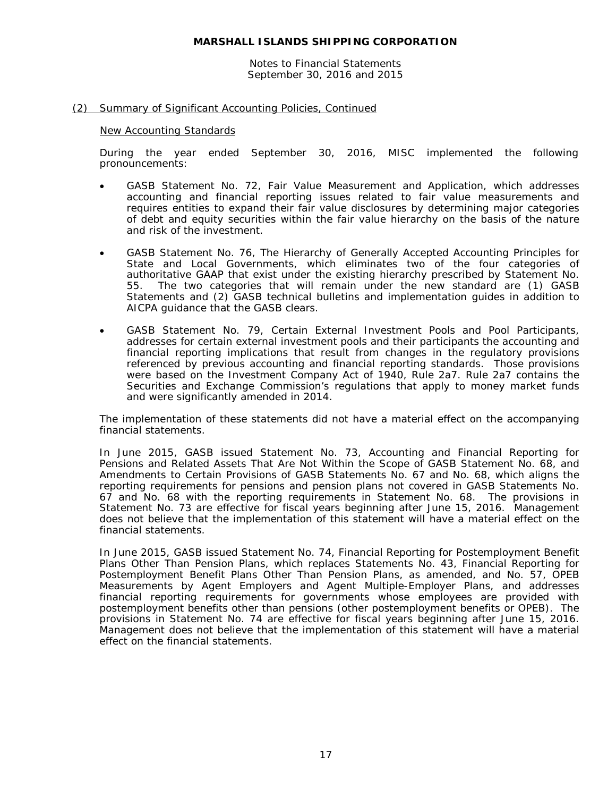Notes to Financial Statements September 30, 2016 and 2015

# (2) Summary of Significant Accounting Policies, Continued

#### New Accounting Standards

During the year ended September 30, 2016, MISC implemented the following pronouncements:

- GASB Statement No. 72, *Fair Value Measurement and Application*, which addresses accounting and financial reporting issues related to fair value measurements and requires entities to expand their fair value disclosures by determining major categories of debt and equity securities within the fair value hierarchy on the basis of the nature and risk of the investment.
- GASB Statement No. 76, *The Hierarchy of Generally Accepted Accounting Principles for State and Local Governments*, which eliminates two of the four categories of authoritative GAAP that exist under the existing hierarchy prescribed by Statement No. 55. The two categories that will remain under the new standard are (1) GASB Statements and (2) GASB technical bulletins and implementation guides in addition to AICPA guidance that the GASB clears.
- GASB Statement No. 79, *Certain External Investment Pools and Pool Participants*, addresses for certain external investment pools and their participants the accounting and financial reporting implications that result from changes in the regulatory provisions referenced by previous accounting and financial reporting standards. Those provisions were based on the Investment Company Act of 1940, Rule 2a7. Rule 2a7 contains the Securities and Exchange Commission's regulations that apply to money market funds and were significantly amended in 2014.

The implementation of these statements did not have a material effect on the accompanying financial statements.

In June 2015, GASB issued Statement No. 73, *Accounting and Financial Reporting for Pensions and Related Assets That Are Not Within the Scope of GASB Statement No. 68, and Amendments to Certain Provisions of GASB Statements No. 67 and No. 68*, which aligns the reporting requirements for pensions and pension plans not covered in GASB Statements No. 67 and No. 68 with the reporting requirements in Statement No. 68. The provisions in Statement No. 73 are effective for fiscal years beginning after June 15, 2016. Management does not believe that the implementation of this statement will have a material effect on the financial statements.

In June 2015, GASB issued Statement No. 74, *Financial Reporting for Postemployment Benefit Plans Other Than Pension Plans*, which replaces Statements No. 43, *Financial Reporting for Postemployment Benefit Plans Other Than Pension Plans, as amended*, and No. 57, *OPEB Measurements by Agent Employers and Agent Multiple-Employer Plans*, and addresses financial reporting requirements for governments whose employees are provided with postemployment benefits other than pensions (other postemployment benefits or OPEB). The provisions in Statement No. 74 are effective for fiscal years beginning after June 15, 2016. Management does not believe that the implementation of this statement will have a material effect on the financial statements.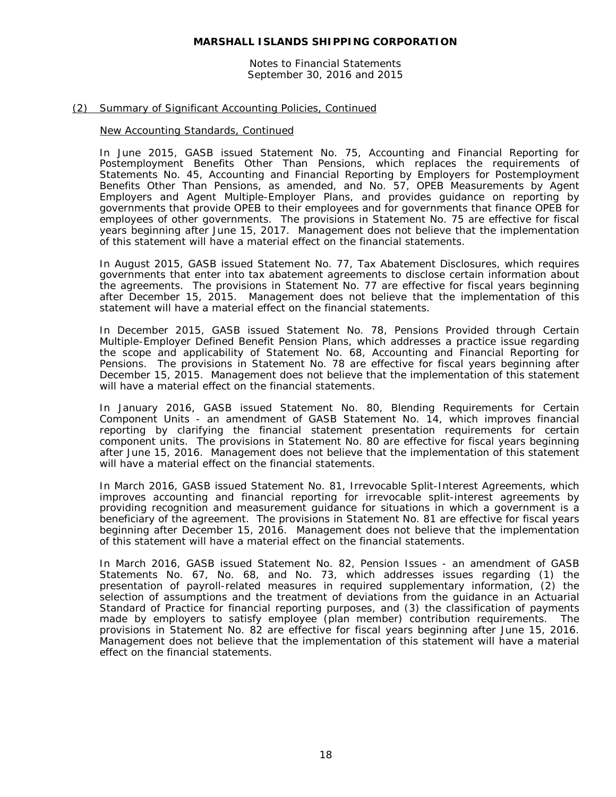Notes to Financial Statements September 30, 2016 and 2015

# (2) Summary of Significant Accounting Policies, Continued

# New Accounting Standards, Continued

In June 2015, GASB issued Statement No. 75, *Accounting and Financial Reporting for Postemployment Benefits Other Than Pensions*, which replaces the requirements of Statements No. 45, *Accounting and Financial Reporting by Employers for Postemployment Benefits Other Than Pensions, as amended*, and No. 57, *OPEB Measurements by Agent Employers and Agent Multiple-Employer Plans*, and provides guidance on reporting by governments that provide OPEB to their employees and for governments that finance OPEB for employees of other governments. The provisions in Statement No. 75 are effective for fiscal years beginning after June 15, 2017. Management does not believe that the implementation of this statement will have a material effect on the financial statements.

In August 2015, GASB issued Statement No. 77, *Tax Abatement Disclosures*, which requires governments that enter into tax abatement agreements to disclose certain information about the agreements. The provisions in Statement No. 77 are effective for fiscal years beginning after December 15, 2015. Management does not believe that the implementation of this statement will have a material effect on the financial statements.

In December 2015, GASB issued Statement No. 78, *Pensions Provided through Certain Multiple-Employer Defined Benefit Pension Plans*, which addresses a practice issue regarding the scope and applicability of Statement No. 68, *Accounting and Financial Reporting for Pensions*. The provisions in Statement No. 78 are effective for fiscal years beginning after December 15, 2015. Management does not believe that the implementation of this statement will have a material effect on the financial statements.

In January 2016, GASB issued Statement No. 80, *Blending Requirements for Certain Component Units - an amendment of GASB Statement No. 14*, which improves financial reporting by clarifying the financial statement presentation requirements for certain component units. The provisions in Statement No. 80 are effective for fiscal years beginning after June 15, 2016. Management does not believe that the implementation of this statement will have a material effect on the financial statements.

In March 2016, GASB issued Statement No. 81, *Irrevocable Split-Interest Agreements*, which improves accounting and financial reporting for irrevocable split-interest agreements by providing recognition and measurement guidance for situations in which a government is a beneficiary of the agreement. The provisions in Statement No. 81 are effective for fiscal years beginning after December 15, 2016. Management does not believe that the implementation of this statement will have a material effect on the financial statements.

In March 2016, GASB issued Statement No. 82, *Pension Issues - an amendment of GASB Statements No. 67, No. 68, and No. 73*, which addresses issues regarding (1) the presentation of payroll-related measures in required supplementary information, (2) the selection of assumptions and the treatment of deviations from the guidance in an Actuarial Standard of Practice for financial reporting purposes, and (3) the classification of payments made by employers to satisfy employee (plan member) contribution requirements. The provisions in Statement No. 82 are effective for fiscal years beginning after June 15, 2016. Management does not believe that the implementation of this statement will have a material effect on the financial statements.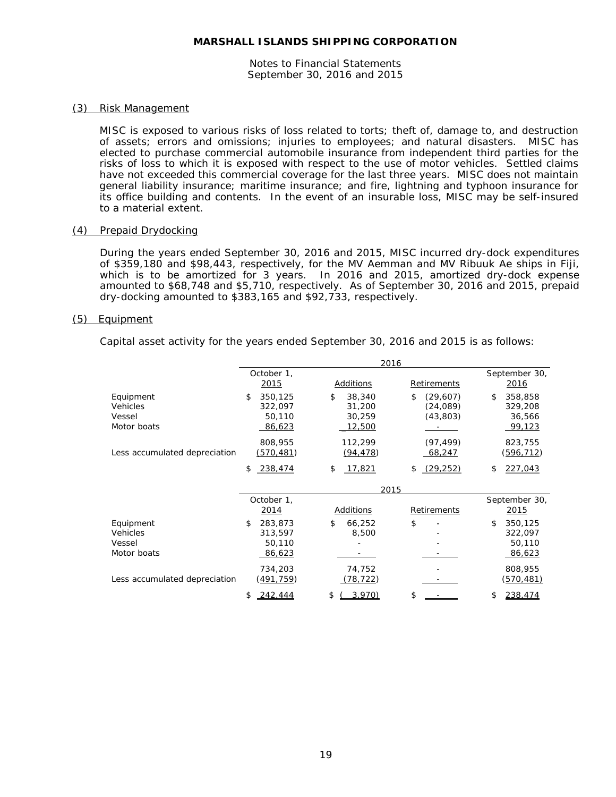Notes to Financial Statements September 30, 2016 and 2015

# (3) Risk Management

MISC is exposed to various risks of loss related to torts; theft of, damage to, and destruction of assets; errors and omissions; injuries to employees; and natural disasters. MISC has elected to purchase commercial automobile insurance from independent third parties for the risks of loss to which it is exposed with respect to the use of motor vehicles. Settled claims have not exceeded this commercial coverage for the last three years. MISC does not maintain general liability insurance; maritime insurance; and fire, lightning and typhoon insurance for its office building and contents. In the event of an insurable loss, MISC may be self-insured to a material extent.

# (4) Prepaid Drydocking

During the years ended September 30, 2016 and 2015, MISC incurred dry-dock expenditures of \$359,180 and \$98,443, respectively, for the MV Aemman and MV Ribuuk Ae ships in Fiji, which is to be amortized for 3 years. In 2016 and 2015, amortized dry-dock expense amounted to \$68,748 and \$5,710, respectively. As of September 30, 2016 and 2015, prepaid dry-docking amounted to \$383,165 and \$92,733, respectively.

# (5) Equipment

Capital asset activity for the years ended September 30, 2016 and 2015 is as follows:

|                                                |                                                     | 2016                                              |                                                                         |                                              |
|------------------------------------------------|-----------------------------------------------------|---------------------------------------------------|-------------------------------------------------------------------------|----------------------------------------------|
|                                                | October 1,<br>2015                                  | Additions                                         | Retirements                                                             | September 30,<br><u>2016</u>                 |
| Equipment<br>Vehicles<br>Vessel<br>Motor boats | 350,125<br>\$<br>322.097<br>50,110<br><u>86,623</u> | \$<br>38,340<br>31,200<br>30,259<br><u>12,500</u> | \$<br>(29,607)<br>(24,089)<br>(43, 803)<br>and the contract of the con- | \$<br>358,858<br>329,208<br>36,566<br>99,123 |
| Less accumulated depreciation                  | 808,955<br><u>(570,481)</u>                         | 112,299<br>(94, 478)                              | (97, 499)<br>68,247                                                     | 823,755<br><u>(596,712)</u>                  |
|                                                | 238,474<br>\$                                       | 17,821<br>\$                                      | (29, 252)<br>\$                                                         | 227,043<br>\$                                |
|                                                |                                                     | 2015                                              |                                                                         |                                              |
|                                                | October 1,<br>2014                                  | Additions                                         | Retirements                                                             | September 30,<br>2015                        |
| Equipment<br>Vehicles<br>Vessel<br>Motor boats | 283,873<br>\$<br>313,597<br>50,110<br>86,623        | 66,252<br>S.<br>8,500                             | \$                                                                      | 350,125<br>\$<br>322,097<br>50,110<br>86,623 |
| Less accumulated depreciation                  | 734,203<br><u>(491,759)</u>                         | 74,752<br>(78, 722)                               |                                                                         | 808,955<br><u>(570,481)</u>                  |
|                                                | 242,444<br>\$                                       | \$<br>3.970)                                      | \$                                                                      | 238,474                                      |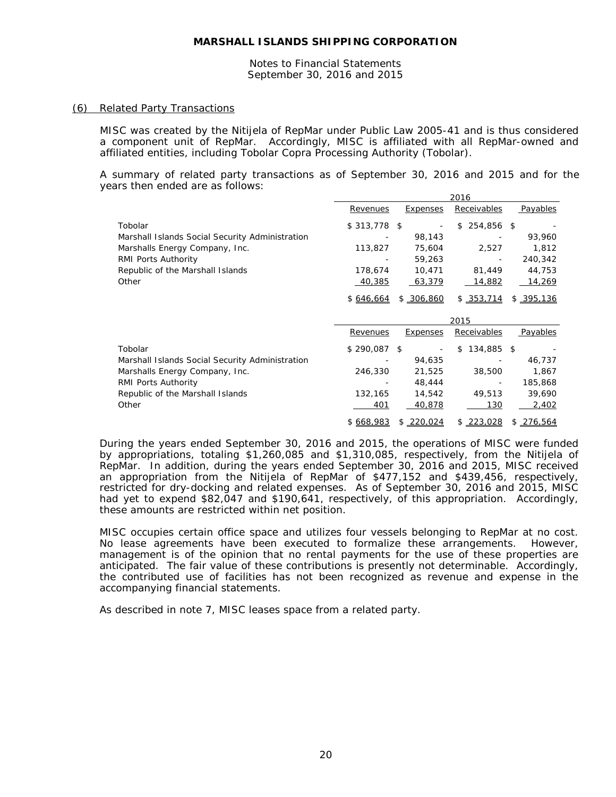Notes to Financial Statements September 30, 2016 and 2015

#### (6) Related Party Transactions

MISC was created by the Nitijela of RepMar under Public Law 2005-41 and is thus considered a component unit of RepMar. Accordingly, MISC is affiliated with all RepMar-owned and affiliated entities, including Tobolar Copra Processing Authority (Tobolar).

A summary of related party transactions as of September 30, 2016 and 2015 and for the years then ended are as follows:

|                                                 |               |                 | 2016             |           |
|-------------------------------------------------|---------------|-----------------|------------------|-----------|
|                                                 | Revenues      | Expenses        | Receivables      | Payables  |
| Tobolar                                         | $$313,778$ \$ |                 | 254,856 \$<br>\$ |           |
| Marshall Islands Social Security Administration |               | 98,143          |                  | 93,960    |
| Marshalls Energy Company, Inc.                  | 113,827       | 75,604          | 2,527            | 1,812     |
| RMI Ports Authority                             |               | 59,263          |                  | 240,342   |
| Republic of the Marshall Islands                | 178,674       | 10,471          | 81,449           | 44,753    |
| Other                                           | 40,385        | 63,379          | <u>14,882</u>    | 14,269    |
|                                                 | \$646,664     | \$306,860       | \$353,714        | \$395,136 |
|                                                 |               |                 |                  |           |
|                                                 |               |                 | 2015             |           |
|                                                 | Revenues      | <b>Expenses</b> | Receivables      | Payables  |
| Tobolar                                         | $$290,087$ \$ |                 | 134,885 \$<br>\$ |           |
| Marshall Islands Social Security Administration |               | 94,635          |                  | 46,737    |
| Marshalls Energy Company, Inc.                  | 246,330       | 21,525          | 38,500           | 1,867     |
| RMI Ports Authority                             |               | 48,444          |                  | 185,868   |
| Republic of the Marshall Islands                | 132,165       | 14,542          | 49,513           | 39,690    |
| Other                                           | 401           | 40,878          | 130              | 2,402     |

During the years ended September 30, 2016 and 2015, the operations of MISC were funded by appropriations, totaling \$1,260,085 and \$1,310,085, respectively, from the Nitijela of RepMar. In addition, during the years ended September 30, 2016 and 2015, MISC received an appropriation from the Nitijela of RepMar of \$477,152 and \$439,456, respectively, restricted for dry-docking and related expenses. As of September 30, 2016 and 2015, MISC had yet to expend \$82,047 and \$190,641, respectively, of this appropriation. Accordingly, these amounts are restricted within net position.

MISC occupies certain office space and utilizes four vessels belonging to RepMar at no cost. No lease agreements have been executed to formalize these arrangements. However, management is of the opinion that no rental payments for the use of these properties are anticipated. The fair value of these contributions is presently not determinable. Accordingly, the contributed use of facilities has not been recognized as revenue and expense in the accompanying financial statements.

As described in note 7, MISC leases space from a related party.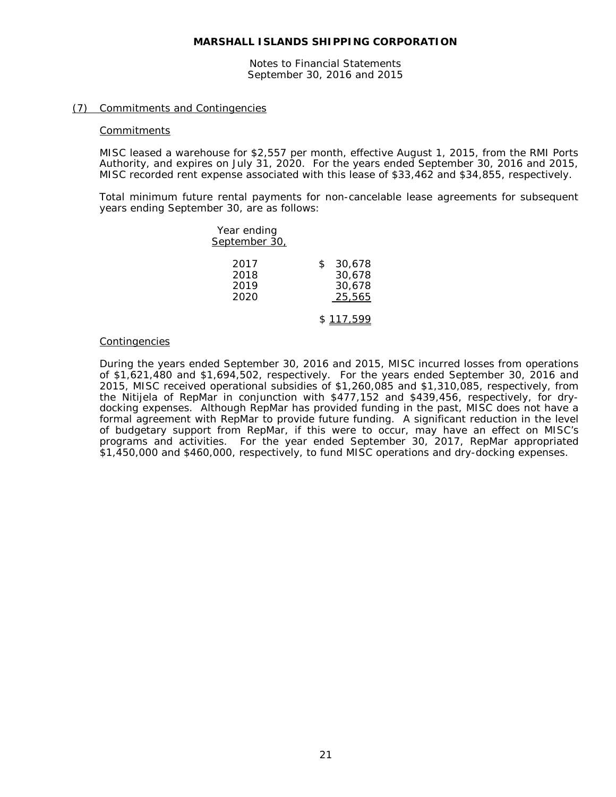Notes to Financial Statements September 30, 2016 and 2015

# (7) Commitments and Contingencies

#### **Commitments**

MISC leased a warehouse for \$2,557 per month, effective August 1, 2015, from the RMI Ports Authority, and expires on July 31, 2020. For the years ended September 30, 2016 and 2015, MISC recorded rent expense associated with this lease of \$33,462 and \$34,855, respectively.

Total minimum future rental payments for non-cancelable lease agreements for subsequent years ending September 30, are as follows:

| Year ending<br>September 30, |                                            |
|------------------------------|--------------------------------------------|
| 2017<br>2018<br>2019<br>2020 | 30,678<br>\$<br>30,678<br>30,678<br>25,565 |
|                              | \$117.599                                  |

#### Contingencies

During the years ended September 30, 2016 and 2015, MISC incurred losses from operations of \$1,621,480 and \$1,694,502, respectively. For the years ended September 30, 2016 and 2015, MISC received operational subsidies of \$1,260,085 and \$1,310,085, respectively, from the Nitijela of RepMar in conjunction with \$477,152 and \$439,456, respectively, for drydocking expenses. Although RepMar has provided funding in the past, MISC does not have a formal agreement with RepMar to provide future funding. A significant reduction in the level of budgetary support from RepMar, if this were to occur, may have an effect on MISC's programs and activities. For the year ended September 30, 2017, RepMar appropriated \$1,450,000 and \$460,000, respectively, to fund MISC operations and dry-docking expenses.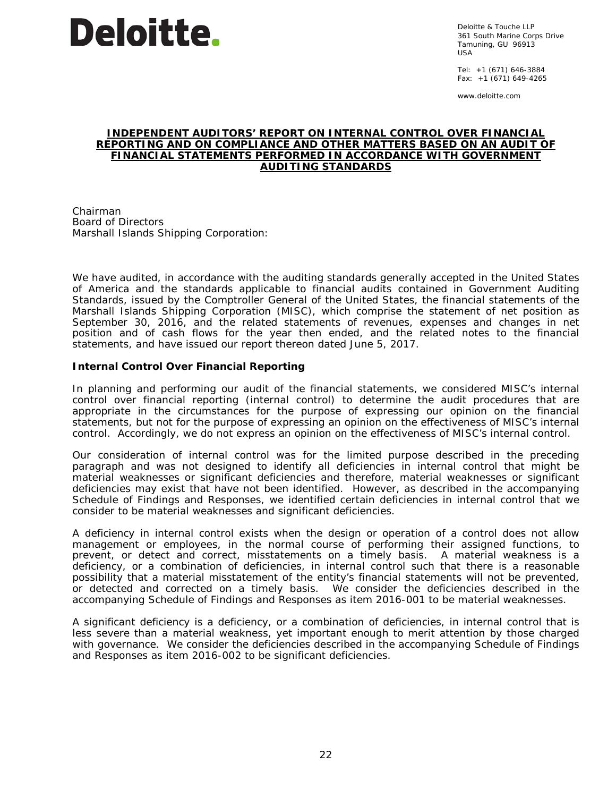

Deloitte & Touche LLP 361 South Marine Corps Drive Tamuning, GU 96913 USA

Tel: +1 (671) 646-3884 Fax: +1 (671) 649-4265

www.deloitte.com

# **INDEPENDENT AUDITORS' REPORT ON INTERNAL CONTROL OVER FINANCIAL REPORTING AND ON COMPLIANCE AND OTHER MATTERS BASED ON AN AUDIT OF FINANCIAL STATEMENTS PERFORMED IN ACCORDANCE WITH** *GOVERNMENT AUDITING STANDARDS*

Chairman Board of Directors Marshall Islands Shipping Corporation:

We have audited, in accordance with the auditing standards generally accepted in the United States of America and the standards applicable to financial audits contained in *Government Auditing Standards,* issued by the Comptroller General of the United States, the financial statements of the Marshall Islands Shipping Corporation (MISC), which comprise the statement of net position as September 30, 2016, and the related statements of revenues, expenses and changes in net position and of cash flows for the year then ended, and the related notes to the financial statements, and have issued our report thereon dated June 5, 2017.

# **Internal Control Over Financial Reporting**

In planning and performing our audit of the financial statements, we considered MISC's internal control over financial reporting (internal control) to determine the audit procedures that are appropriate in the circumstances for the purpose of expressing our opinion on the financial statements, but not for the purpose of expressing an opinion on the effectiveness of MISC's internal control. Accordingly, we do not express an opinion on the effectiveness of MISC's internal control.

Our consideration of internal control was for the limited purpose described in the preceding paragraph and was not designed to identify all deficiencies in internal control that might be material weaknesses or significant deficiencies and therefore, material weaknesses or significant deficiencies may exist that have not been identified. However, as described in the accompanying Schedule of Findings and Responses, we identified certain deficiencies in internal control that we consider to be material weaknesses and significant deficiencies.

A *deficiency in internal control* exists when the design or operation of a control does not allow management or employees, in the normal course of performing their assigned functions, to prevent, or detect and correct, misstatements on a timely basis. A *material weakness* is a deficiency, or a combination of deficiencies, in internal control such that there is a reasonable possibility that a material misstatement of the entity's financial statements will not be prevented, or detected and corrected on a timely basis. We consider the deficiencies described in the accompanying Schedule of Findings and Responses as item 2016-001 to be material weaknesses.

A *significant deficiency* is a deficiency, or a combination of deficiencies, in internal control that is less severe than a material weakness, yet important enough to merit attention by those charged with governance. We consider the deficiencies described in the accompanying Schedule of Findings and Responses as item 2016-002 to be significant deficiencies.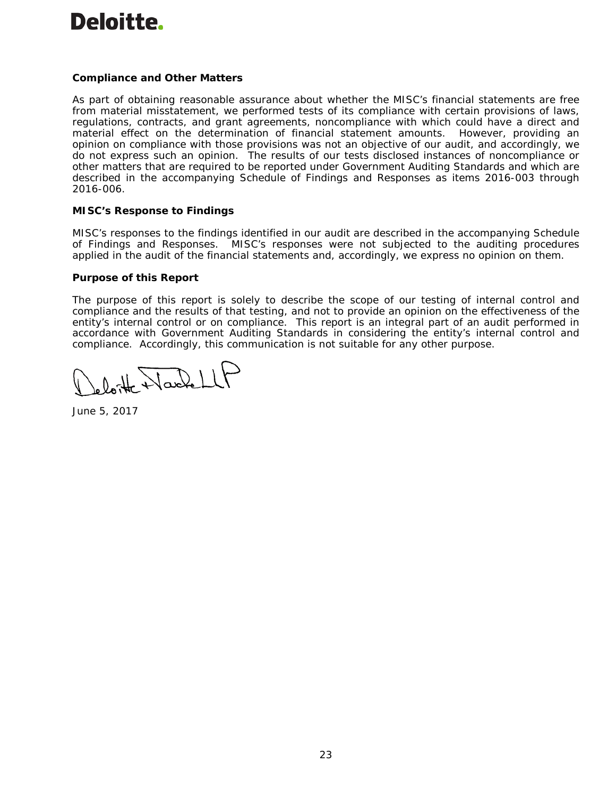# **Deloitte.**

# **Compliance and Other Matters**

As part of obtaining reasonable assurance about whether the MISC's financial statements are free from material misstatement, we performed tests of its compliance with certain provisions of laws, regulations, contracts, and grant agreements, noncompliance with which could have a direct and material effect on the determination of financial statement amounts. However, providing an opinion on compliance with those provisions was not an objective of our audit, and accordingly, we do not express such an opinion. The results of our tests disclosed instances of noncompliance or other matters that are required to be reported under *Government Auditing Standards* and which are described in the accompanying Schedule of Findings and Responses as items 2016-003 through 2016-006.

# **MISC's Response to Findings**

MISC's responses to the findings identified in our audit are described in the accompanying Schedule of Findings and Responses. MISC's responses were not subjected to the auditing procedures applied in the audit of the financial statements and, accordingly, we express no opinion on them.

# **Purpose of this Report**

The purpose of this report is solely to describe the scope of our testing of internal control and compliance and the results of that testing, and not to provide an opinion on the effectiveness of the entity's internal control or on compliance. This report is an integral part of an audit performed in accordance with *Government Auditing Standards* in considering the entity's internal control and compliance. Accordingly, this communication is not suitable for any other purpose.

latte Harlett

June 5, 2017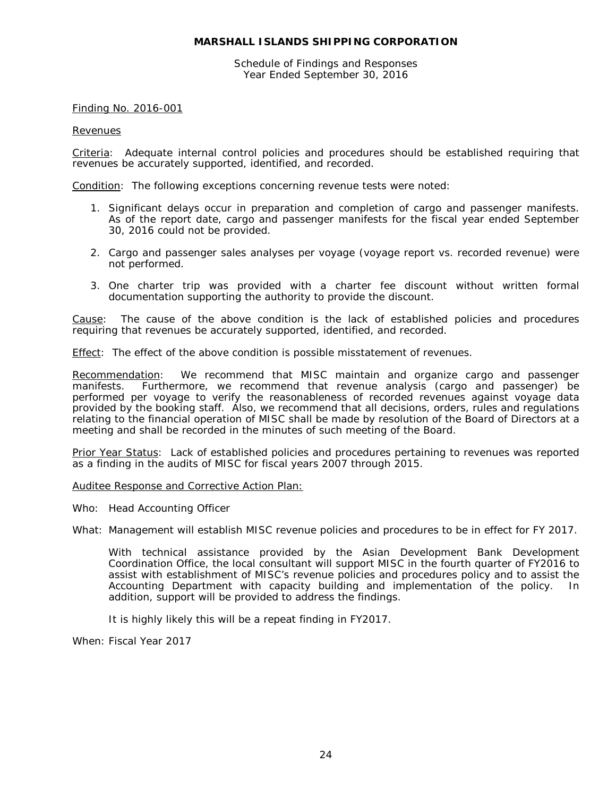Schedule of Findings and Responses Year Ended September 30, 2016

# Finding No. 2016-001

#### **Revenues**

Criteria: Adequate internal control policies and procedures should be established requiring that revenues be accurately supported, identified, and recorded.

Condition: The following exceptions concerning revenue tests were noted:

- 1. Significant delays occur in preparation and completion of cargo and passenger manifests. As of the report date, cargo and passenger manifests for the fiscal year ended September 30, 2016 could not be provided.
- 2. Cargo and passenger sales analyses per voyage (voyage report vs. recorded revenue) were not performed.
- 3. One charter trip was provided with a charter fee discount without written formal documentation supporting the authority to provide the discount.

Cause: The cause of the above condition is the lack of established policies and procedures requiring that revenues be accurately supported, identified, and recorded.

Effect: The effect of the above condition is possible misstatement of revenues.

Recommendation: We recommend that MISC maintain and organize cargo and passenger manifests. Furthermore, we recommend that revenue analysis (cargo and passenger) be performed per voyage to verify the reasonableness of recorded revenues against voyage data provided by the booking staff. Also, we recommend that all decisions, orders, rules and regulations relating to the financial operation of MISC shall be made by resolution of the Board of Directors at a meeting and shall be recorded in the minutes of such meeting of the Board.

Prior Year Status: Lack of established policies and procedures pertaining to revenues was reported as a finding in the audits of MISC for fiscal years 2007 through 2015.

Auditee Response and Corrective Action Plan:

Who: Head Accounting Officer

What: Management will establish MISC revenue policies and procedures to be in effect for FY 2017.

With technical assistance provided by the Asian Development Bank Development Coordination Office, the local consultant will support MISC in the fourth quarter of FY2016 to assist with establishment of MISC's revenue policies and procedures policy and to assist the Accounting Department with capacity building and implementation of the policy. In addition, support will be provided to address the findings.

It is highly likely this will be a repeat finding in FY2017.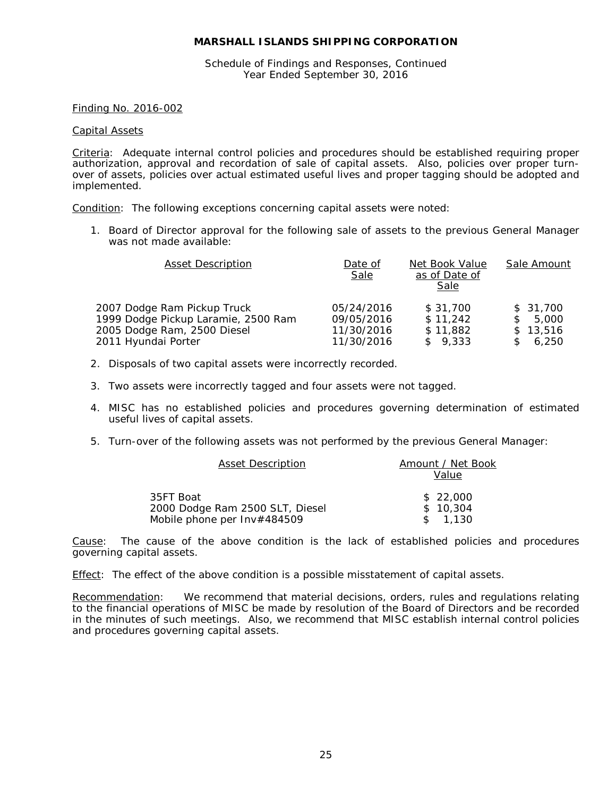Schedule of Findings and Responses, Continued Year Ended September 30, 2016

#### Finding No. 2016-002

#### Capital Assets

Criteria: Adequate internal control policies and procedures should be established requiring proper authorization, approval and recordation of sale of capital assets. Also, policies over proper turnover of assets, policies over actual estimated useful lives and proper tagging should be adopted and implemented.

Condition: The following exceptions concerning capital assets were noted:

1. Board of Director approval for the following sale of assets to the previous General Manager was not made available:

| <b>Asset Description</b>            | Date of<br>Sale | Net Book Value<br>as of Date of<br>Sale | Sale Amount            |
|-------------------------------------|-----------------|-----------------------------------------|------------------------|
| 2007 Dodge Ram Pickup Truck         | 05/24/2016      | \$31,700                                | \$31,700               |
| 1999 Dodge Pickup Laramie, 2500 Ram | 09/05/2016      | \$11,242                                | 5,000<br><sup>\$</sup> |
| 2005 Dodge Ram, 2500 Diesel         | 11/30/2016      | \$11.882                                | \$13.516               |
| 2011 Hyundai Porter                 | 11/30/2016      | \$9,333                                 | 6.250                  |

- 2. Disposals of two capital assets were incorrectly recorded.
- 3. Two assets were incorrectly tagged and four assets were not tagged.
- 4. MISC has no established policies and procedures governing determination of estimated useful lives of capital assets.
- 5. Turn-over of the following assets was not performed by the previous General Manager:

| <b>Asset Description</b>        | Amount / Net Book |
|---------------------------------|-------------------|
|                                 | Value             |
| 35FT Boat                       | \$22,000          |
| 2000 Dodge Ram 2500 SLT, Diesel | \$10.304          |
| Mobile phone per Inv#484509     | \$1.130           |

Cause: The cause of the above condition is the lack of established policies and procedures governing capital assets.

Effect: The effect of the above condition is a possible misstatement of capital assets.

Recommendation: We recommend that material decisions, orders, rules and regulations relating to the financial operations of MISC be made by resolution of the Board of Directors and be recorded in the minutes of such meetings. Also, we recommend that MISC establish internal control policies and procedures governing capital assets.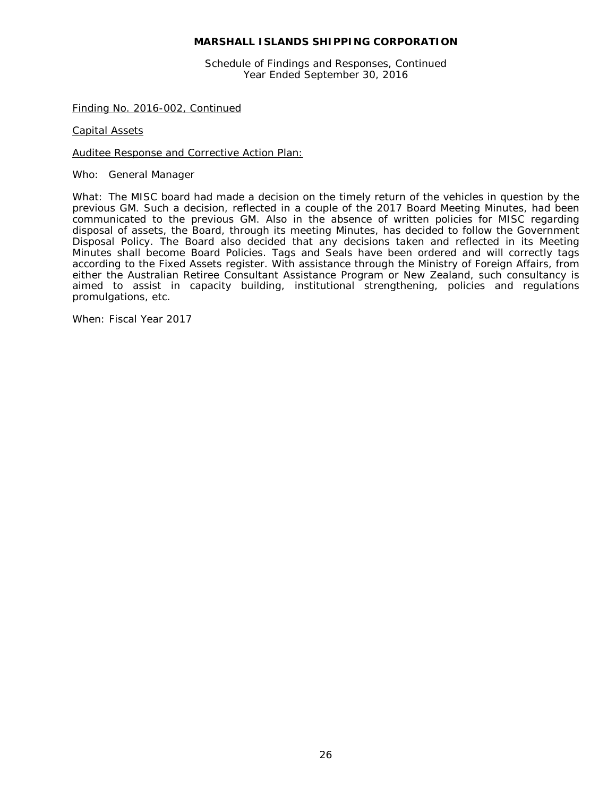Schedule of Findings and Responses, Continued Year Ended September 30, 2016

Finding No. 2016-002, Continued

Capital Assets

Auditee Response and Corrective Action Plan:

Who: General Manager

What: The MISC board had made a decision on the timely return of the vehicles in question by the previous GM. Such a decision, reflected in a couple of the 2017 Board Meeting Minutes, had been communicated to the previous GM. Also in the absence of written policies for MISC regarding disposal of assets, the Board, through its meeting Minutes, has decided to follow the Government Disposal Policy. The Board also decided that any decisions taken and reflected in its Meeting Minutes shall become Board Policies. Tags and Seals have been ordered and will correctly tags according to the Fixed Assets register. With assistance through the Ministry of Foreign Affairs, from either the Australian Retiree Consultant Assistance Program or New Zealand, such consultancy is aimed to assist in capacity building, institutional strengthening, policies and regulations promulgations, etc.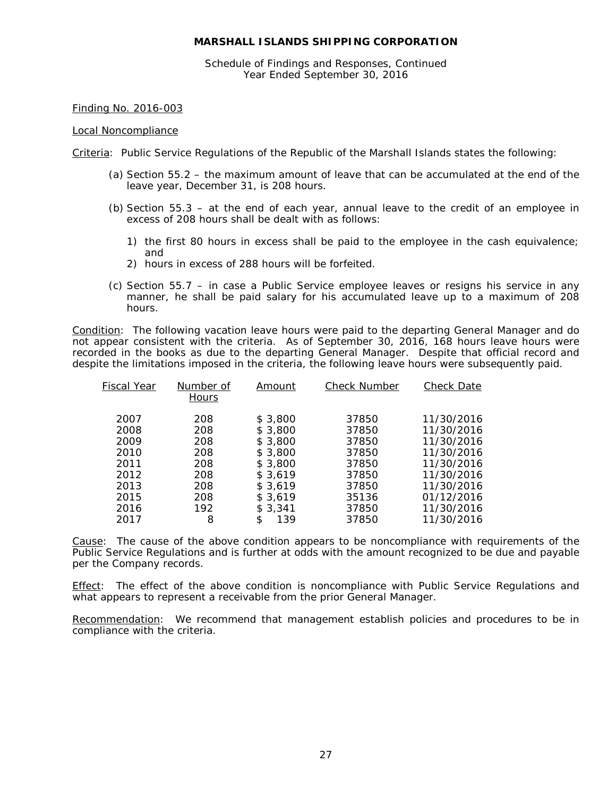Schedule of Findings and Responses, Continued Year Ended September 30, 2016

# Finding No. 2016-003

#### Local Noncompliance

Criteria: Public Service Regulations of the Republic of the Marshall Islands states the following:

- (a) Section 55.2 the maximum amount of leave that can be accumulated at the end of the leave year, December 31, is 208 hours.
- (b) Section 55.3 at the end of each year, annual leave to the credit of an employee in excess of 208 hours shall be dealt with as follows:
	- 1) the first 80 hours in excess shall be paid to the employee in the cash equivalence; and
	- 2) hours in excess of 288 hours will be forfeited.
- (c) Section 55.7 in case a Public Service employee leaves or resigns his service in any manner, he shall be paid salary for his accumulated leave up to a maximum of 208 hours.

Condition: The following vacation leave hours were paid to the departing General Manager and do not appear consistent with the criteria. As of September 30, 2016, 168 hours leave hours were recorded in the books as due to the departing General Manager. Despite that official record and despite the limitations imposed in the criteria, the following leave hours were subsequently paid.

| <b>Fiscal Year</b> | Number of<br>Hours | Amount    | <b>Check Number</b> | <b>Check Date</b> |
|--------------------|--------------------|-----------|---------------------|-------------------|
| 2007               | 208                | \$3,800   | 37850               | 11/30/2016        |
| 2008               | 208                | \$3,800   | 37850               | 11/30/2016        |
| 2009               | 208                | \$3,800   | 37850               | 11/30/2016        |
| 2010               | 208                | \$3,800   | 37850               | 11/30/2016        |
| 2011               | 208                | \$3,800   | 37850               | 11/30/2016        |
| 2012               | 208                | \$3.619   | 37850               | 11/30/2016        |
| 2013               | 208                | \$3.619   | 37850               | 11/30/2016        |
| 2015               | 208                | \$3.619   | 35136               | 01/12/2016        |
| 2016               | 192                | \$3,341   | 37850               | 11/30/2016        |
| 2017               | 8                  | \$<br>139 | 37850               | 11/30/2016        |

Cause: The cause of the above condition appears to be noncompliance with requirements of the Public Service Regulations and is further at odds with the amount recognized to be due and payable per the Company records.

Effect: The effect of the above condition is noncompliance with Public Service Regulations and what appears to represent a receivable from the prior General Manager.

Recommendation: We recommend that management establish policies and procedures to be in compliance with the criteria.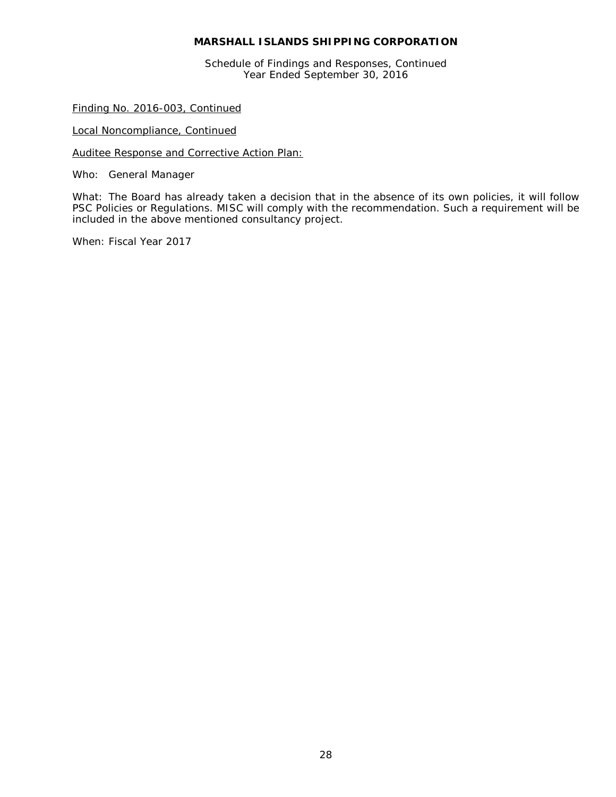Schedule of Findings and Responses, Continued Year Ended September 30, 2016

Finding No. 2016-003, Continued

Local Noncompliance, Continued

Auditee Response and Corrective Action Plan:

Who: General Manager

What: The Board has already taken a decision that in the absence of its own policies, it will follow PSC Policies or Regulations. MISC will comply with the recommendation. Such a requirement will be included in the above mentioned consultancy project.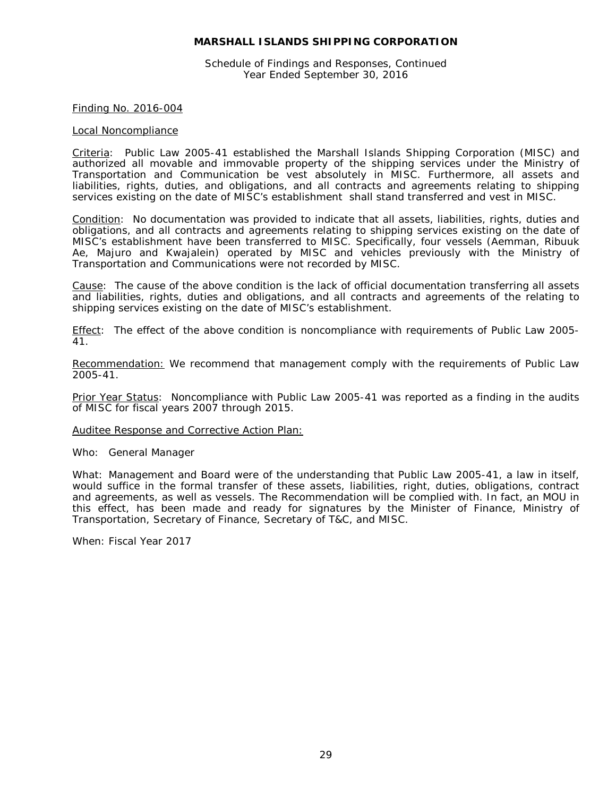Schedule of Findings and Responses, Continued Year Ended September 30, 2016

#### Finding No. 2016-004

#### Local Noncompliance

Criteria: Public Law 2005-41 established the Marshall Islands Shipping Corporation (MISC) and authorized all movable and immovable property of the shipping services under the Ministry of Transportation and Communication be vest absolutely in MISC. Furthermore, all assets and liabilities, rights, duties, and obligations, and all contracts and agreements relating to shipping services existing on the date of MISC's establishment shall stand transferred and vest in MISC.

Condition: No documentation was provided to indicate that all assets, liabilities, rights, duties and obligations, and all contracts and agreements relating to shipping services existing on the date of MISC's establishment have been transferred to MISC. Specifically, four vessels (Aemman, Ribuuk Ae, Majuro and Kwajalein) operated by MISC and vehicles previously with the Ministry of Transportation and Communications were not recorded by MISC.

Cause: The cause of the above condition is the lack of official documentation transferring all assets and liabilities, rights, duties and obligations, and all contracts and agreements of the relating to shipping services existing on the date of MISC's establishment.

Effect: The effect of the above condition is noncompliance with requirements of Public Law 2005-41.

Recommendation: We recommend that management comply with the requirements of Public Law 2005-41.

Prior Year Status: Noncompliance with Public Law 2005-41 was reported as a finding in the audits of MISC for fiscal years 2007 through 2015.

#### Auditee Response and Corrective Action Plan:

Who: General Manager

What: Management and Board were of the understanding that Public Law 2005-41, a law in itself, would suffice in the formal transfer of these assets, liabilities, right, duties, obligations, contract and agreements, as well as vessels. The Recommendation will be complied with. In fact, an MOU in this effect, has been made and ready for signatures by the Minister of Finance, Ministry of Transportation, Secretary of Finance, Secretary of T&C, and MISC.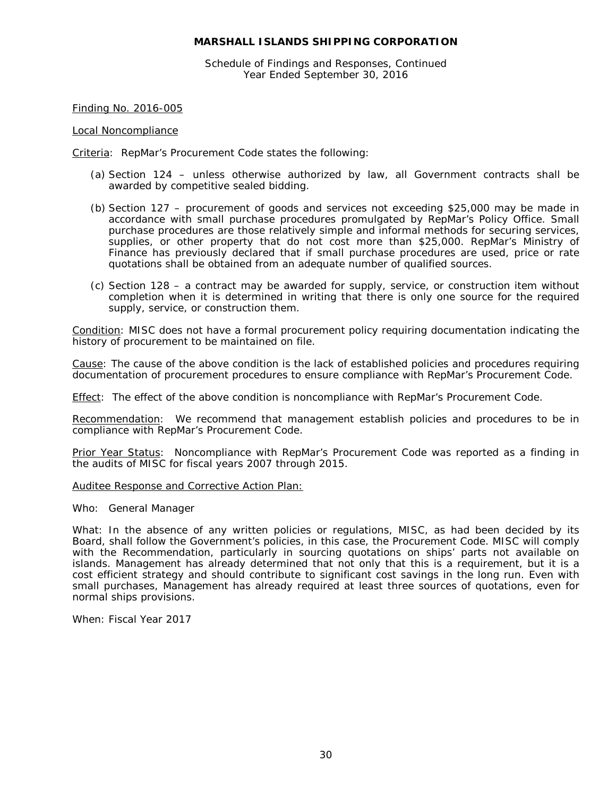Schedule of Findings and Responses, Continued Year Ended September 30, 2016

Finding No. 2016-005

#### Local Noncompliance

Criteria: RepMar's Procurement Code states the following:

- (a) Section 124 unless otherwise authorized by law, all Government contracts shall be awarded by competitive sealed bidding.
- (b) Section 127 procurement of goods and services not exceeding \$25,000 may be made in accordance with small purchase procedures promulgated by RepMar's Policy Office. Small purchase procedures are those relatively simple and informal methods for securing services, supplies, or other property that do not cost more than \$25,000. RepMar's Ministry of Finance has previously declared that if small purchase procedures are used, price or rate quotations shall be obtained from an adequate number of qualified sources.
- (c) Section 128 a contract may be awarded for supply, service, or construction item without completion when it is determined in writing that there is only one source for the required supply, service, or construction them.

Condition: MISC does not have a formal procurement policy requiring documentation indicating the history of procurement to be maintained on file.

Cause: The cause of the above condition is the lack of established policies and procedures requiring documentation of procurement procedures to ensure compliance with RepMar's Procurement Code.

Effect: The effect of the above condition is noncompliance with RepMar's Procurement Code.

Recommendation: We recommend that management establish policies and procedures to be in compliance with RepMar's Procurement Code.

Prior Year Status: Noncompliance with RepMar's Procurement Code was reported as a finding in the audits of MISC for fiscal years 2007 through 2015.

#### Auditee Response and Corrective Action Plan:

Who: General Manager

What: In the absence of any written policies or regulations, MISC, as had been decided by its Board, shall follow the Government's policies, in this case, the Procurement Code. MISC will comply with the Recommendation, particularly in sourcing quotations on ships' parts not available on islands. Management has already determined that not only that this is a requirement, but it is a cost efficient strategy and should contribute to significant cost savings in the long run. Even with small purchases, Management has already required at least three sources of quotations, even for normal ships provisions.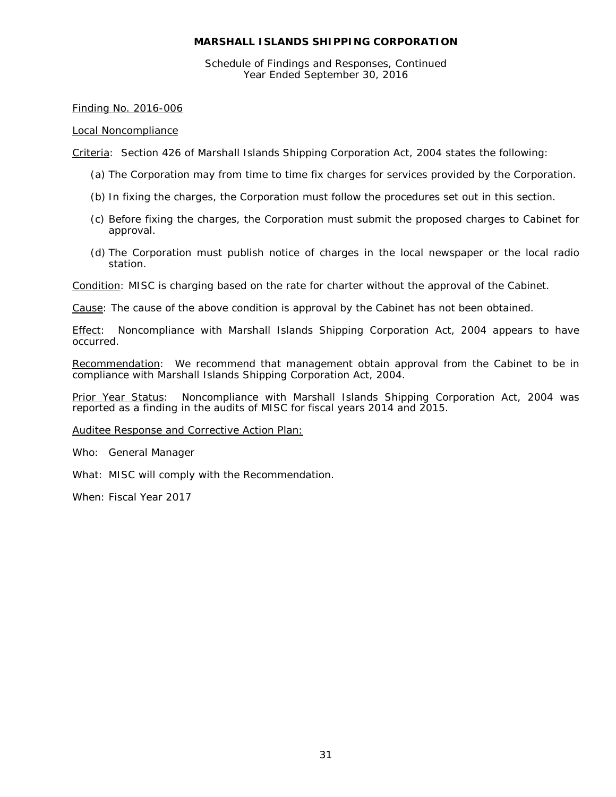Schedule of Findings and Responses, Continued Year Ended September 30, 2016

# Finding No. 2016-006

# Local Noncompliance

Criteria: Section 426 of Marshall Islands Shipping Corporation Act, 2004 states the following:

- (a) The Corporation may from time to time fix charges for services provided by the Corporation.
- (b) In fixing the charges, the Corporation must follow the procedures set out in this section.
- (c) Before fixing the charges, the Corporation must submit the proposed charges to Cabinet for approval.
- (d) The Corporation must publish notice of charges in the local newspaper or the local radio station.

Condition: MISC is charging based on the rate for charter without the approval of the Cabinet.

Cause: The cause of the above condition is approval by the Cabinet has not been obtained.

Effect: Noncompliance with Marshall Islands Shipping Corporation Act, 2004 appears to have occurred.

Recommendation: We recommend that management obtain approval from the Cabinet to be in compliance with Marshall Islands Shipping Corporation Act, 2004.

Prior Year Status: Noncompliance with Marshall Islands Shipping Corporation Act, 2004 was reported as a finding in the audits of MISC for fiscal years 2014 and 2015.

Auditee Response and Corrective Action Plan:

Who: General Manager

What: MISC will comply with the Recommendation.